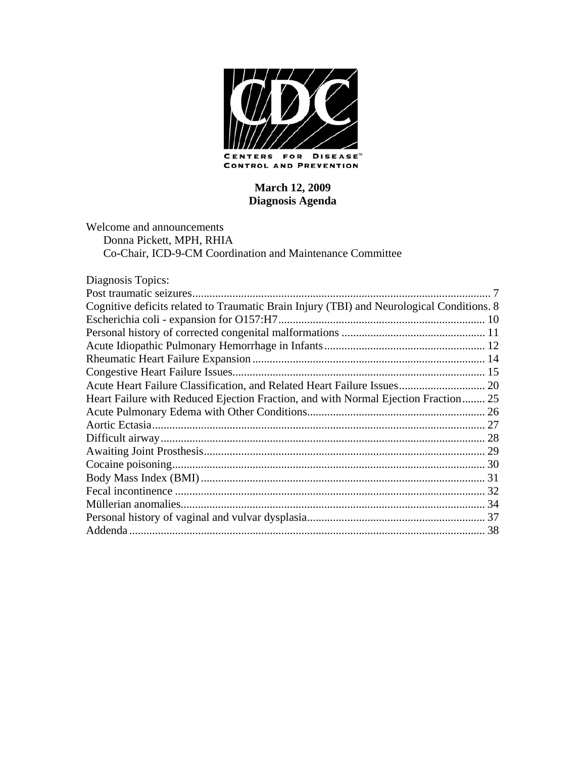

**CONTROL AND PREVENTION** 

## **March 12, 2009 Diagnosis Agenda**

Welcome and announcements Donna Pickett, MPH, RHIA Co-Chair, ICD-9-CM Coordination and Maintenance Committee

| Diagnosis Topics:                                                                         |  |
|-------------------------------------------------------------------------------------------|--|
|                                                                                           |  |
| Cognitive deficits related to Traumatic Brain Injury (TBI) and Neurological Conditions. 8 |  |
|                                                                                           |  |
|                                                                                           |  |
|                                                                                           |  |
|                                                                                           |  |
|                                                                                           |  |
| Acute Heart Failure Classification, and Related Heart Failure Issues 20                   |  |
| Heart Failure with Reduced Ejection Fraction, and with Normal Ejection Fraction 25        |  |
|                                                                                           |  |
|                                                                                           |  |
|                                                                                           |  |
|                                                                                           |  |
|                                                                                           |  |
|                                                                                           |  |
|                                                                                           |  |
|                                                                                           |  |
|                                                                                           |  |
|                                                                                           |  |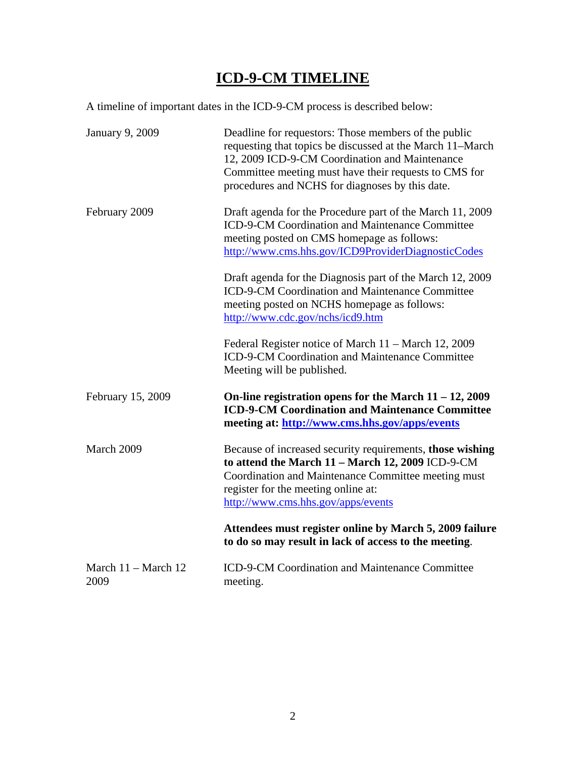# **ICD-9-CM TIMELINE**

A timeline of important dates in the ICD-9-CM process is described below:

| January 9, 2009                       | Deadline for requestors: Those members of the public<br>requesting that topics be discussed at the March 11–March<br>12, 2009 ICD-9-CM Coordination and Maintenance<br>Committee meeting must have their requests to CMS for<br>procedures and NCHS for diagnoses by this date. |
|---------------------------------------|---------------------------------------------------------------------------------------------------------------------------------------------------------------------------------------------------------------------------------------------------------------------------------|
| February 2009                         | Draft agenda for the Procedure part of the March 11, 2009<br>ICD-9-CM Coordination and Maintenance Committee<br>meeting posted on CMS homepage as follows:<br>http://www.cms.hhs.gov/ICD9ProviderDiagnosticCodes                                                                |
|                                       | Draft agenda for the Diagnosis part of the March 12, 2009<br>ICD-9-CM Coordination and Maintenance Committee<br>meeting posted on NCHS homepage as follows:<br>http://www.cdc.gov/nchs/icd9.htm                                                                                 |
|                                       | Federal Register notice of March 11 – March 12, 2009<br>ICD-9-CM Coordination and Maintenance Committee<br>Meeting will be published.                                                                                                                                           |
| February 15, 2009                     | On-line registration opens for the March $11 - 12$ , 2009<br><b>ICD-9-CM Coordination and Maintenance Committee</b><br>meeting at: http://www.cms.hhs.gov/apps/events                                                                                                           |
| March 2009                            | Because of increased security requirements, those wishing<br>to attend the March 11 - March 12, 2009 ICD-9-CM<br>Coordination and Maintenance Committee meeting must<br>register for the meeting online at:<br>http://www.cms.hhs.gov/apps/events                               |
|                                       | Attendees must register online by March 5, 2009 failure<br>to do so may result in lack of access to the meeting.                                                                                                                                                                |
| March $11 - \text{March } 12$<br>2009 | ICD-9-CM Coordination and Maintenance Committee<br>meeting.                                                                                                                                                                                                                     |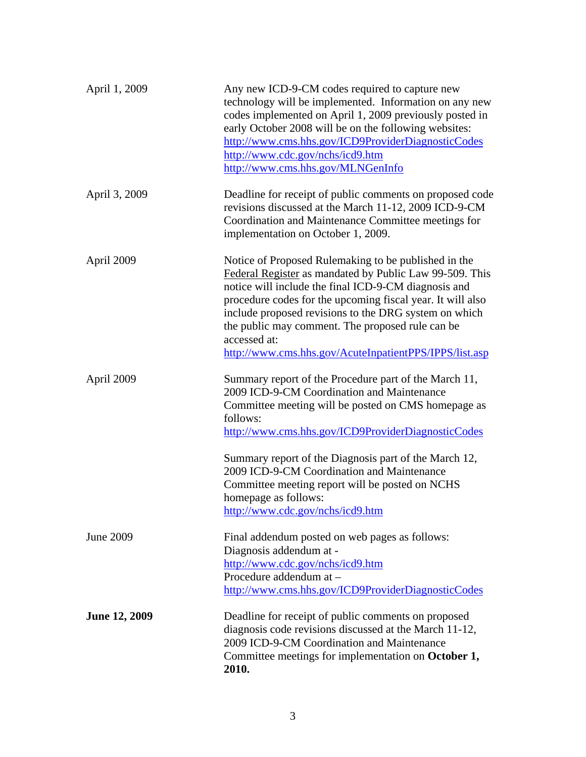| April 1, 2009        | Any new ICD-9-CM codes required to capture new<br>technology will be implemented. Information on any new<br>codes implemented on April 1, 2009 previously posted in<br>early October 2008 will be on the following websites:<br>http://www.cms.hhs.gov/ICD9ProviderDiagnosticCodes<br>http://www.cdc.gov/nchs/icd9.htm<br>http://www.cms.hhs.gov/MLNGenInfo                                                                  |
|----------------------|------------------------------------------------------------------------------------------------------------------------------------------------------------------------------------------------------------------------------------------------------------------------------------------------------------------------------------------------------------------------------------------------------------------------------|
| April 3, 2009        | Deadline for receipt of public comments on proposed code<br>revisions discussed at the March 11-12, 2009 ICD-9-CM<br>Coordination and Maintenance Committee meetings for<br>implementation on October 1, 2009.                                                                                                                                                                                                               |
| April 2009           | Notice of Proposed Rulemaking to be published in the<br>Federal Register as mandated by Public Law 99-509. This<br>notice will include the final ICD-9-CM diagnosis and<br>procedure codes for the upcoming fiscal year. It will also<br>include proposed revisions to the DRG system on which<br>the public may comment. The proposed rule can be<br>accessed at:<br>http://www.cms.hhs.gov/AcuteInpatientPPS/IPPS/list.asp |
| April 2009           | Summary report of the Procedure part of the March 11,<br>2009 ICD-9-CM Coordination and Maintenance<br>Committee meeting will be posted on CMS homepage as<br>follows:<br>http://www.cms.hhs.gov/ICD9ProviderDiagnosticCodes                                                                                                                                                                                                 |
|                      | Summary report of the Diagnosis part of the March 12,<br>2009 ICD-9-CM Coordination and Maintenance<br>Committee meeting report will be posted on NCHS<br>homepage as follows:<br>http://www.cdc.gov/nchs/icd9.htm                                                                                                                                                                                                           |
| June 2009            | Final addendum posted on web pages as follows:<br>Diagnosis addendum at -<br>http://www.cdc.gov/nchs/icd9.htm<br>Procedure addendum at -<br>http://www.cms.hhs.gov/ICD9ProviderDiagnosticCodes                                                                                                                                                                                                                               |
| <b>June 12, 2009</b> | Deadline for receipt of public comments on proposed<br>diagnosis code revisions discussed at the March 11-12,<br>2009 ICD-9-CM Coordination and Maintenance<br>Committee meetings for implementation on October 1,<br>2010.                                                                                                                                                                                                  |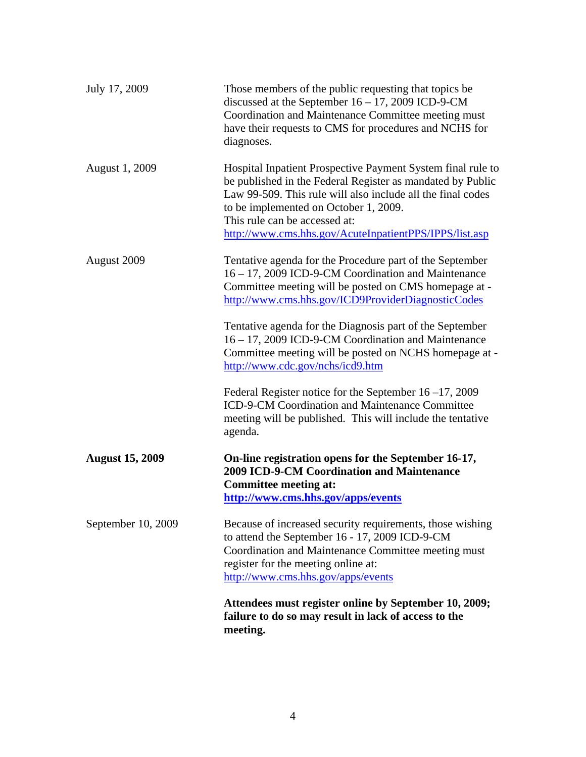|                        | Attendees must register online by September 10, 2009;<br>failure to do so may result in lack of access to the<br>meeting.                                                                                                                                                                                                    |  |  |
|------------------------|------------------------------------------------------------------------------------------------------------------------------------------------------------------------------------------------------------------------------------------------------------------------------------------------------------------------------|--|--|
| September 10, 2009     | Because of increased security requirements, those wishing<br>to attend the September 16 - 17, 2009 ICD-9-CM<br>Coordination and Maintenance Committee meeting must<br>register for the meeting online at:<br>http://www.cms.hhs.gov/apps/events                                                                              |  |  |
| <b>August 15, 2009</b> | On-line registration opens for the September 16-17,<br><b>2009 ICD-9-CM Coordination and Maintenance</b><br><b>Committee meeting at:</b><br>http://www.cms.hhs.gov/apps/events                                                                                                                                               |  |  |
|                        | Federal Register notice for the September $16 - 17$ , 2009<br>ICD-9-CM Coordination and Maintenance Committee<br>meeting will be published. This will include the tentative<br>agenda.                                                                                                                                       |  |  |
|                        | Tentative agenda for the Diagnosis part of the September<br>16 - 17, 2009 ICD-9-CM Coordination and Maintenance<br>Committee meeting will be posted on NCHS homepage at -<br>http://www.cdc.gov/nchs/icd9.htm                                                                                                                |  |  |
| August 2009            | Tentative agenda for the Procedure part of the September<br>16 – 17, 2009 ICD-9-CM Coordination and Maintenance<br>Committee meeting will be posted on CMS homepage at -<br>http://www.cms.hhs.gov/ICD9ProviderDiagnosticCodes                                                                                               |  |  |
| August 1, 2009         | Hospital Inpatient Prospective Payment System final rule to<br>be published in the Federal Register as mandated by Public<br>Law 99-509. This rule will also include all the final codes<br>to be implemented on October 1, 2009.<br>This rule can be accessed at:<br>http://www.cms.hhs.gov/AcuteInpatientPPS/IPPS/list.asp |  |  |
| July 17, 2009          | Those members of the public requesting that topics be<br>discussed at the September $16 - 17$ , 2009 ICD-9-CM<br>Coordination and Maintenance Committee meeting must<br>have their requests to CMS for procedures and NCHS for<br>diagnoses.                                                                                 |  |  |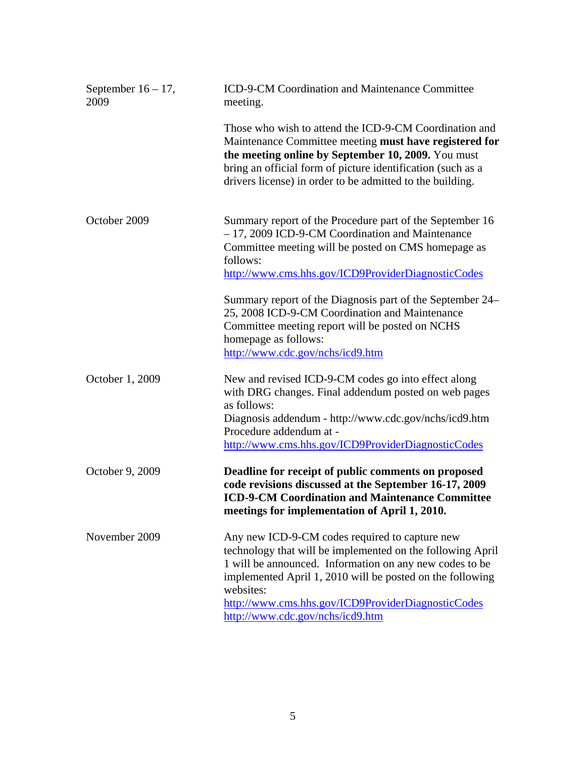| September $16 - 17$ ,<br>2009 | ICD-9-CM Coordination and Maintenance Committee<br>meeting.                                                                                                                                                                                                                                                                                 |  |  |  |
|-------------------------------|---------------------------------------------------------------------------------------------------------------------------------------------------------------------------------------------------------------------------------------------------------------------------------------------------------------------------------------------|--|--|--|
|                               | Those who wish to attend the ICD-9-CM Coordination and<br>Maintenance Committee meeting must have registered for<br>the meeting online by September 10, 2009. You must<br>bring an official form of picture identification (such as a<br>drivers license) in order to be admitted to the building.                                          |  |  |  |
| October 2009                  | Summary report of the Procedure part of the September 16<br>- 17, 2009 ICD-9-CM Coordination and Maintenance<br>Committee meeting will be posted on CMS homepage as<br>follows:<br>http://www.cms.hhs.gov/ICD9ProviderDiagnosticCodes                                                                                                       |  |  |  |
|                               | Summary report of the Diagnosis part of the September 24–<br>25, 2008 ICD-9-CM Coordination and Maintenance<br>Committee meeting report will be posted on NCHS<br>homepage as follows:<br>http://www.cdc.gov/nchs/icd9.htm                                                                                                                  |  |  |  |
| October 1, 2009               | New and revised ICD-9-CM codes go into effect along<br>with DRG changes. Final addendum posted on web pages<br>as follows:<br>Diagnosis addendum - http://www.cdc.gov/nchs/icd9.htm<br>Procedure addendum at -<br>http://www.cms.hhs.gov/ICD9ProviderDiagnosticCodes                                                                        |  |  |  |
| October 9, 2009               | Deadline for receipt of public comments on proposed<br>code revisions discussed at the September 16-17, 2009<br><b>ICD-9-CM Coordination and Maintenance Committee</b><br>meetings for implementation of April 1, 2010.                                                                                                                     |  |  |  |
| November 2009                 | Any new ICD-9-CM codes required to capture new<br>technology that will be implemented on the following April<br>1 will be announced. Information on any new codes to be<br>implemented April 1, 2010 will be posted on the following<br>websites:<br>http://www.cms.hhs.gov/ICD9ProviderDiagnosticCodes<br>http://www.cdc.gov/nchs/icd9.htm |  |  |  |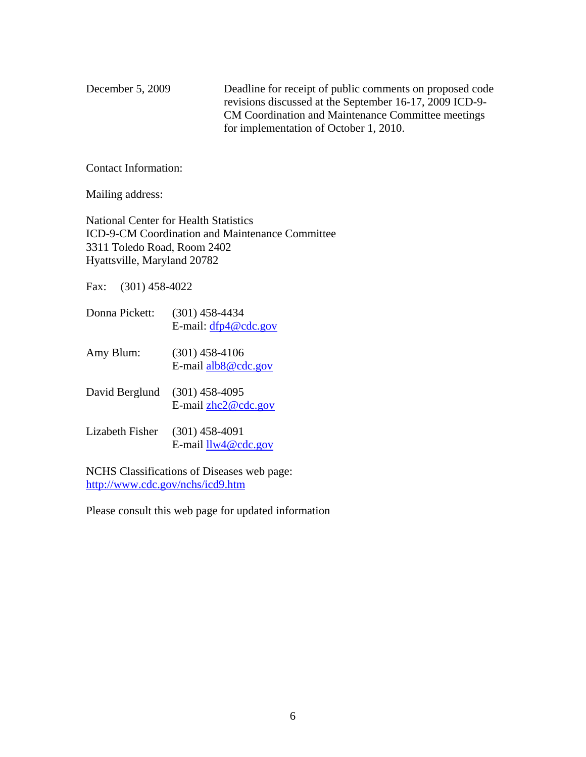December 5, 2009 Deadline for receipt of public comments on proposed code revisions discussed at the September 16-17, 2009 ICD-9- CM Coordination and Maintenance Committee meetings for implementation of October 1, 2010.

Contact Information:

Mailing address:

National Center for Health Statistics ICD-9-CM Coordination and Maintenance Committee 3311 Toledo Road, Room 2402 Hyattsville, Maryland 20782

Fax: (301) 458-4022

- Donna Pickett: (301) 458-4434 E-mail: [dfp4@cdc.gov](mailto:dfp4@cdc.gov)
- Amy Blum: (301) 458-4106 E-mail [alb8@cdc.gov](mailto:alb8@cdc.gov)
- David Berglund (301) 458-4095 E-mail [zhc2@cdc.gov](mailto:zhc2@cdc.gov)
- Lizabeth Fisher (301) 458-4091 E-mail [llw4@cdc.gov](mailto:llw4@cdc.gov)

NCHS Classifications of Diseases web page: <http://www.cdc.gov/nchs/icd9.htm>

Please consult this web page for updated information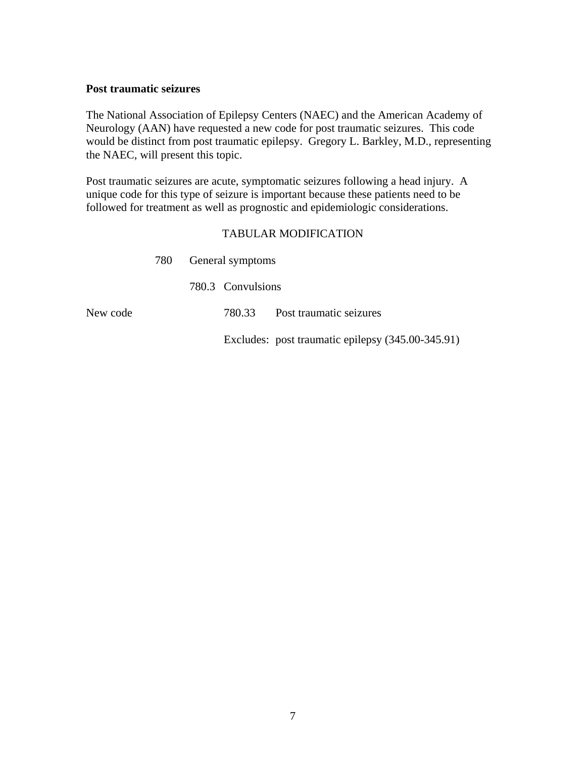#### <span id="page-6-0"></span>**Post traumatic seizures**

The National Association of Epilepsy Centers (NAEC) and the American Academy of Neurology (AAN) have requested a new code for post traumatic seizures. This code would be distinct from post traumatic epilepsy. Gregory L. Barkley, M.D., representing the NAEC, will present this topic.

Post traumatic seizures are acute, symptomatic seizures following a head injury. A unique code for this type of seizure is important because these patients need to be followed for treatment as well as prognostic and epidemiologic considerations.

## TABULAR MODIFICATION

|  |  | 780.33 Post traumatic seizures            |
|--|--|-------------------------------------------|
|  |  | 780 General symptoms<br>780.3 Convulsions |

Excludes: post traumatic epilepsy (345.00-345.91)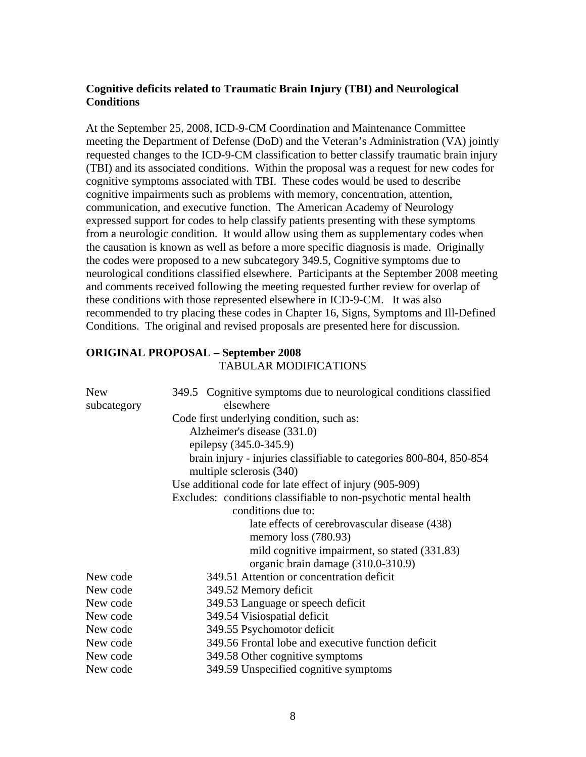## <span id="page-7-0"></span>**Cognitive deficits related to Traumatic Brain Injury (TBI) and Neurological Conditions**

At the September 25, 2008, ICD-9-CM Coordination and Maintenance Committee meeting the Department of Defense (DoD) and the Veteran's Administration (VA) jointly requested changes to the ICD-9-CM classification to better classify traumatic brain injury (TBI) and its associated conditions. Within the proposal was a request for new codes for cognitive symptoms associated with TBI. These codes would be used to describe cognitive impairments such as problems with memory, concentration, attention, communication, and executive function. The American Academy of Neurology expressed support for codes to help classify patients presenting with these symptoms from a neurologic condition. It would allow using them as supplementary codes when the causation is known as well as before a more specific diagnosis is made. Originally the codes were proposed to a new subcategory 349.5, Cognitive symptoms due to neurological conditions classified elsewhere. Participants at the September 2008 meeting and comments received following the meeting requested further review for overlap of these conditions with those represented elsewhere in ICD-9-CM. It was also recommended to try placing these codes in Chapter 16, Signs, Symptoms and Ill-Defined Conditions. The original and revised proposals are presented here for discussion.

## **ORIGINAL PROPOSAL – September 2008**  TABULAR MODIFICATIONS

| <b>New</b><br>subcategory | 349.5 Cognitive symptoms due to neurological conditions classified<br>elsewhere |  |  |  |
|---------------------------|---------------------------------------------------------------------------------|--|--|--|
|                           | Code first underlying condition, such as:                                       |  |  |  |
|                           | Alzheimer's disease (331.0)                                                     |  |  |  |
|                           | epilepsy (345.0-345.9)                                                          |  |  |  |
|                           | brain injury - injuries classifiable to categories 800-804, 850-854             |  |  |  |
|                           | multiple sclerosis (340)                                                        |  |  |  |
|                           | Use additional code for late effect of injury (905-909)                         |  |  |  |
|                           | Excludes: conditions classifiable to non-psychotic mental health                |  |  |  |
|                           | conditions due to:                                                              |  |  |  |
|                           | late effects of cerebrovascular disease (438)                                   |  |  |  |
|                           | memory loss $(780.93)$                                                          |  |  |  |
|                           | mild cognitive impairment, so stated (331.83)                                   |  |  |  |
|                           | organic brain damage (310.0-310.9)                                              |  |  |  |
| New code                  | 349.51 Attention or concentration deficit                                       |  |  |  |
| New code                  | 349.52 Memory deficit                                                           |  |  |  |
| New code                  | 349.53 Language or speech deficit                                               |  |  |  |
| New code                  | 349.54 Visiospatial deficit                                                     |  |  |  |
| New code                  | 349.55 Psychomotor deficit                                                      |  |  |  |
| New code                  | 349.56 Frontal lobe and executive function deficit                              |  |  |  |
| New code                  | 349.58 Other cognitive symptoms                                                 |  |  |  |
| New code                  | 349.59 Unspecified cognitive symptoms                                           |  |  |  |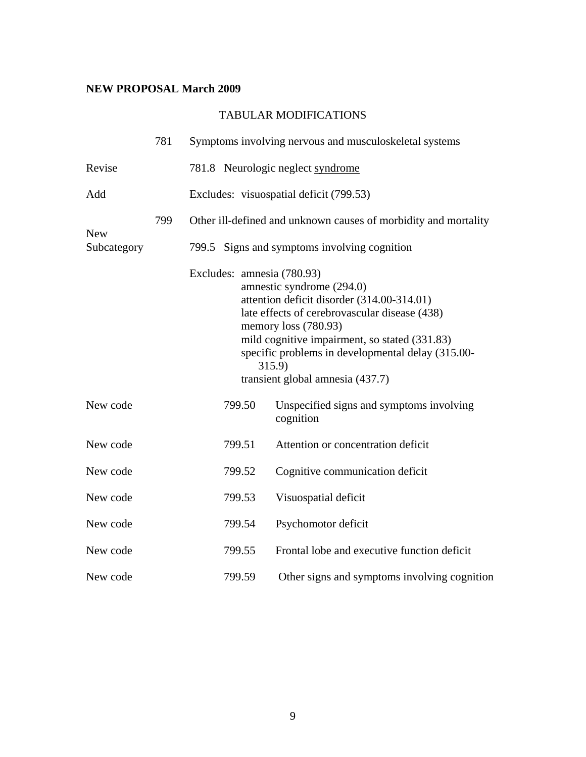## **NEW PROPOSAL March 2009**

|                           | 781 |                                                                                                                                                                                                                                                                                                                                    | Symptoms involving nervous and musculoskeletal systems |  |  |
|---------------------------|-----|------------------------------------------------------------------------------------------------------------------------------------------------------------------------------------------------------------------------------------------------------------------------------------------------------------------------------------|--------------------------------------------------------|--|--|
| Revise                    |     |                                                                                                                                                                                                                                                                                                                                    | 781.8 Neurologic neglect syndrome                      |  |  |
| Add                       |     |                                                                                                                                                                                                                                                                                                                                    | Excludes: visuospatial deficit (799.53)                |  |  |
|                           | 799 | Other ill-defined and unknown causes of morbidity and mortality                                                                                                                                                                                                                                                                    |                                                        |  |  |
| <b>New</b><br>Subcategory |     | 799.5 Signs and symptoms involving cognition                                                                                                                                                                                                                                                                                       |                                                        |  |  |
|                           |     | Excludes: amnesia (780.93)<br>amnestic syndrome (294.0)<br>attention deficit disorder (314.00-314.01)<br>late effects of cerebrovascular disease (438)<br>memory loss (780.93)<br>mild cognitive impairment, so stated (331.83)<br>specific problems in developmental delay (315.00-<br>315.9)<br>transient global amnesia (437.7) |                                                        |  |  |
| New code                  |     | 799.50                                                                                                                                                                                                                                                                                                                             | Unspecified signs and symptoms involving<br>cognition  |  |  |
| New code                  |     | 799.51                                                                                                                                                                                                                                                                                                                             | Attention or concentration deficit                     |  |  |
| New code                  |     | 799.52                                                                                                                                                                                                                                                                                                                             | Cognitive communication deficit                        |  |  |
| New code                  |     | 799.53                                                                                                                                                                                                                                                                                                                             | Visuospatial deficit                                   |  |  |
| New code                  |     | 799.54                                                                                                                                                                                                                                                                                                                             | Psychomotor deficit                                    |  |  |
| New code                  |     | 799.55                                                                                                                                                                                                                                                                                                                             | Frontal lobe and executive function deficit            |  |  |
| New code                  |     | 799.59                                                                                                                                                                                                                                                                                                                             | Other signs and symptoms involving cognition           |  |  |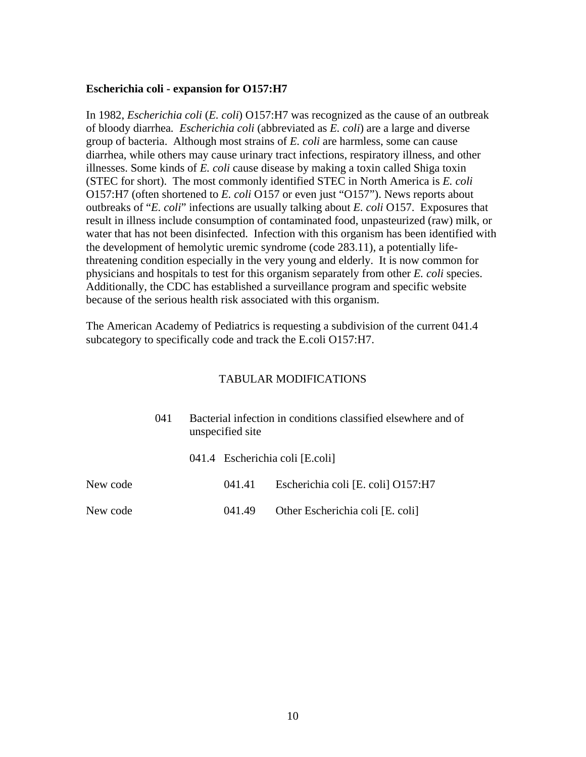#### <span id="page-9-0"></span>**Escherichia coli - expansion for O157:H7**

In 1982, *Escherichia coli* (*E. coli*) O157:H7 was recognized as the cause of an outbreak of bloody diarrhea*. Escherichia coli* (abbreviated as *E. coli*) are a large and diverse group of bacteria. Although most strains of *E. coli* are harmless, some can cause diarrhea, while others may cause urinary tract infections, respiratory illness, and other illnesses. Some kinds of *E. coli* cause disease by making a toxin called Shiga toxin (STEC for short). The most commonly identified STEC in North America is *E. coli* O157:H7 (often shortened to *E. coli* O157 or even just "O157"). News reports about outbreaks of "*E. coli*" infections are usually talking about *E. coli* O157. Exposures that result in illness include consumption of contaminated food, unpasteurized (raw) milk, or water that has not been disinfected. Infection with this organism has been identified with the development of hemolytic uremic syndrome (code 283.11), a potentially lifethreatening condition especially in the very young and elderly. It is now common for physicians and hospitals to test for this organism separately from other *E. coli* species. Additionally, the CDC has established a surveillance program and specific website because of the serious health risk associated with this organism.

The American Academy of Pediatrics is requesting a subdivision of the current 041.4 subcategory to specifically code and track the E.coli O157:H7.

|          | (141) | Bacterial infection in conditions classified elsewhere and of<br>unspecified site |        |                                    |
|----------|-------|-----------------------------------------------------------------------------------|--------|------------------------------------|
|          |       |                                                                                   |        | 041.4 Escherichia coli [E.coli]    |
| New code |       |                                                                                   | 041.41 | Escherichia coli [E. coli] O157:H7 |
| New code |       |                                                                                   | 041.49 | Other Escherichia coli [E. coli]   |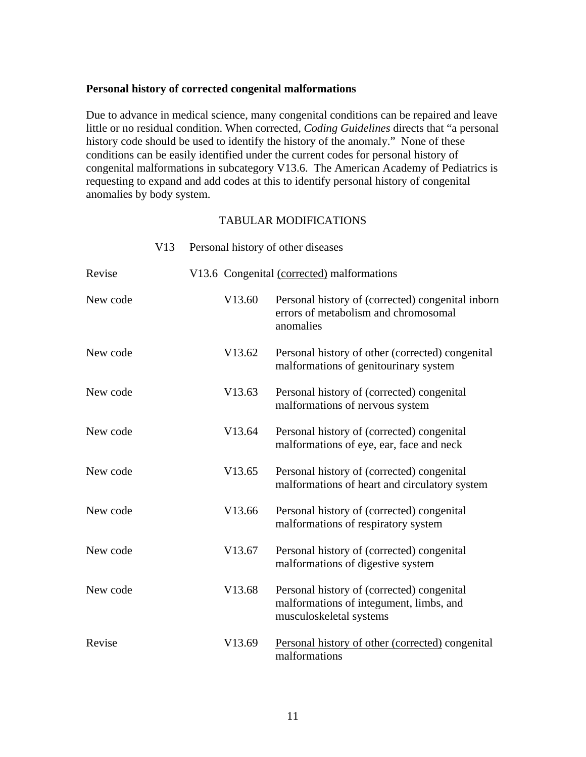#### <span id="page-10-0"></span>**Personal history of corrected congenital malformations**

Due to advance in medical science, many congenital conditions can be repaired and leave little or no residual condition. When corrected, *Coding Guidelines* directs that "a personal history code should be used to identify the history of the anomaly." None of these conditions can be easily identified under the current codes for personal history of congenital malformations in subcategory V13.6. The American Academy of Pediatrics is requesting to expand and add codes at this to identify personal history of congenital anomalies by body system.

|          | V13 | Personal history of other diseases |                                                                                                                  |
|----------|-----|------------------------------------|------------------------------------------------------------------------------------------------------------------|
| Revise   |     |                                    | V13.6 Congenital (corrected) malformations                                                                       |
| New code |     | V13.60                             | Personal history of (corrected) congenital inborn<br>errors of metabolism and chromosomal<br>anomalies           |
| New code |     | V13.62                             | Personal history of other (corrected) congenital<br>malformations of genitourinary system                        |
| New code |     | V13.63                             | Personal history of (corrected) congenital<br>malformations of nervous system                                    |
| New code |     | V13.64                             | Personal history of (corrected) congenital<br>malformations of eye, ear, face and neck                           |
| New code |     | V13.65                             | Personal history of (corrected) congenital<br>malformations of heart and circulatory system                      |
| New code |     | V13.66                             | Personal history of (corrected) congenital<br>malformations of respiratory system                                |
| New code |     | V13.67                             | Personal history of (corrected) congenital<br>malformations of digestive system                                  |
| New code |     | V13.68                             | Personal history of (corrected) congenital<br>malformations of integument, limbs, and<br>musculoskeletal systems |
| Revise   |     | V13.69                             | Personal history of other (corrected) congenital<br>malformations                                                |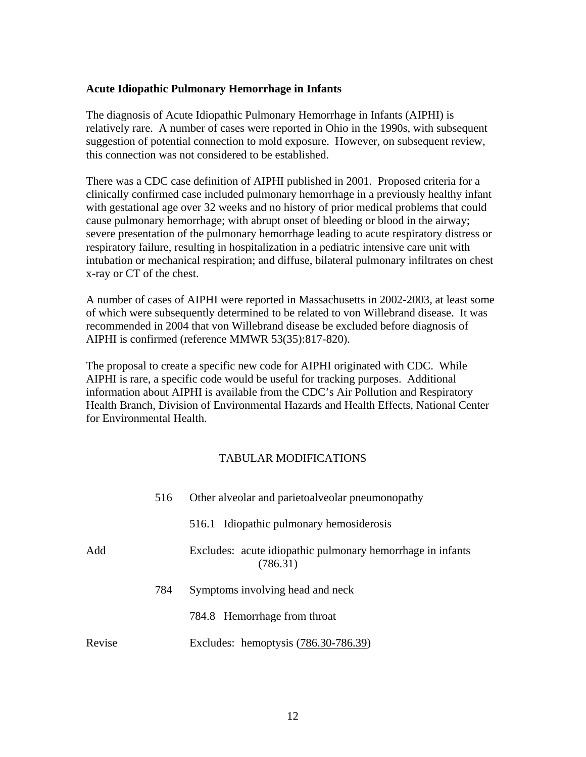## <span id="page-11-0"></span>**Acute Idiopathic Pulmonary Hemorrhage in Infants**

The diagnosis of Acute Idiopathic Pulmonary Hemorrhage in Infants (AIPHI) is relatively rare. A number of cases were reported in Ohio in the 1990s, with subsequent suggestion of potential connection to mold exposure. However, on subsequent review, this connection was not considered to be established.

There was a CDC case definition of AIPHI published in 2001. Proposed criteria for a clinically confirmed case included pulmonary hemorrhage in a previously healthy infant with gestational age over 32 weeks and no history of prior medical problems that could cause pulmonary hemorrhage; with abrupt onset of bleeding or blood in the airway; severe presentation of the pulmonary hemorrhage leading to acute respiratory distress or respiratory failure, resulting in hospitalization in a pediatric intensive care unit with intubation or mechanical respiration; and diffuse, bilateral pulmonary infiltrates on chest x-ray or CT of the chest.

A number of cases of AIPHI were reported in Massachusetts in 2002-2003, at least some of which were subsequently determined to be related to von Willebrand disease. It was recommended in 2004 that von Willebrand disease be excluded before diagnosis of AIPHI is confirmed (reference MMWR 53(35):817-820).

The proposal to create a specific new code for AIPHI originated with CDC. While AIPHI is rare, a specific code would be useful for tracking purposes. Additional information about AIPHI is available from the CDC's Air Pollution and Respiratory Health Branch, Division of Environmental Hazards and Health Effects, National Center for Environmental Health.

|        | 516 | Other alveolar and parietoal veolar pneumonopathy                      |  |
|--------|-----|------------------------------------------------------------------------|--|
|        |     | 516.1 Idiopathic pulmonary hemosiderosis                               |  |
| Add    |     | Excludes: acute idiopathic pulmonary hemorrhage in infants<br>(786.31) |  |
|        | 784 | Symptoms involving head and neck                                       |  |
|        |     | 784.8 Hemorrhage from throat                                           |  |
| Revise |     | Excludes: hemoptysis (786.30-786.39)                                   |  |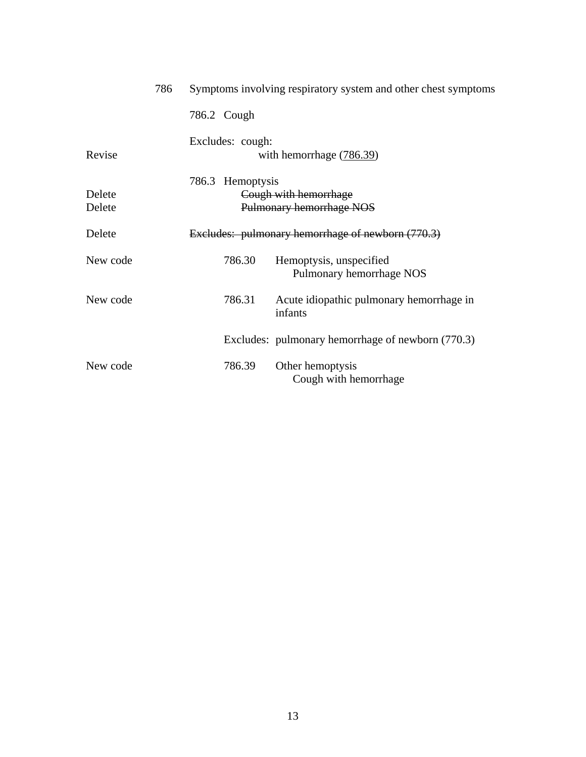|                  | 786 |                  | Symptoms involving respiratory system and other chest symptoms |
|------------------|-----|------------------|----------------------------------------------------------------|
|                  |     | 786.2 Cough      |                                                                |
| Revise           |     | Excludes: cough: | with hemorrhage (786.39)                                       |
| Delete<br>Delete |     | 786.3 Hemoptysis | Cough with hemorrhage<br>Pulmonary hemorrhage NOS              |
| Delete           |     |                  | Excludes: pulmonary hemorrhage of newborn (770.3)              |
| New code         |     | 786.30           | Hemoptysis, unspecified<br>Pulmonary hemorrhage NOS            |
| New code         |     | 786.31           | Acute idiopathic pulmonary hemorrhage in<br>infants            |
|                  |     |                  | Excludes: pulmonary hemorrhage of newborn (770.3)              |
| New code         |     | 786.39           | Other hemoptysis<br>Cough with hemorrhage                      |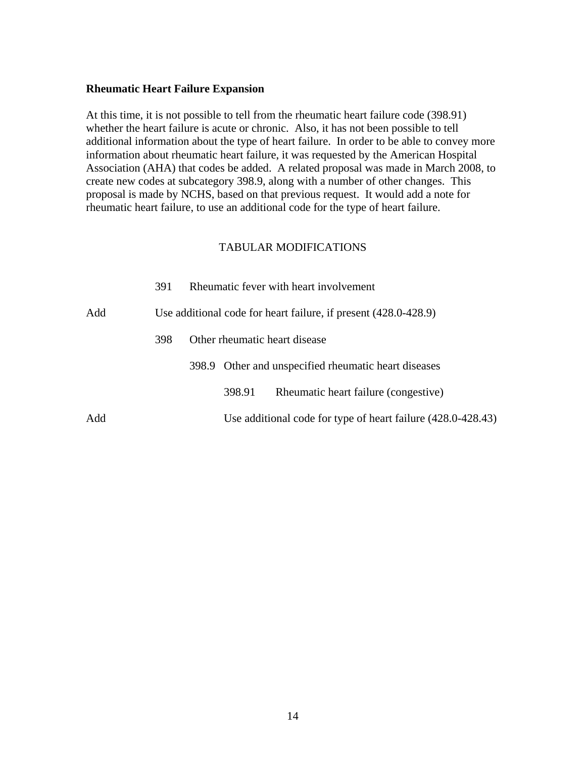#### <span id="page-13-0"></span>**Rheumatic Heart Failure Expansion**

At this time, it is not possible to tell from the rheumatic heart failure code (398.91) whether the heart failure is acute or chronic. Also, it has not been possible to tell additional information about the type of heart failure. In order to be able to convey more information about rheumatic heart failure, it was requested by the American Hospital Association (AHA) that codes be added. A related proposal was made in March 2008, to create new codes at subcategory 398.9, along with a number of other changes. This proposal is made by NCHS, based on that previous request. It would add a note for rheumatic heart failure, to use an additional code for the type of heart failure.

|     | 391 |        | Rheumatic fever with heart involvement                          |
|-----|-----|--------|-----------------------------------------------------------------|
| Add |     |        | Use additional code for heart failure, if present (428.0-428.9) |
|     | 398 |        | Other rheumatic heart disease                                   |
|     |     |        | 398.9 Other and unspecified rheumatic heart diseases            |
|     |     | 398.91 | Rheumatic heart failure (congestive)                            |
| Add |     |        | Use additional code for type of heart failure (428.0-428.43)    |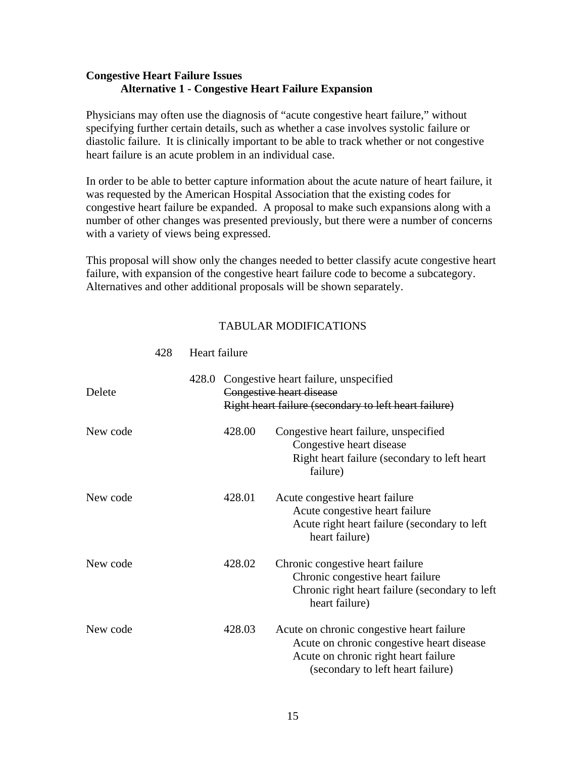## <span id="page-14-0"></span>**Congestive Heart Failure Issues Alternative 1 - Congestive Heart Failure Expansion**

Physicians may often use the diagnosis of "acute congestive heart failure," without specifying further certain details, such as whether a case involves systolic failure or diastolic failure. It is clinically important to be able to track whether or not congestive heart failure is an acute problem in an individual case.

In order to be able to better capture information about the acute nature of heart failure, it was requested by the American Hospital Association that the existing codes for congestive heart failure be expanded. A proposal to make such expansions along with a number of other changes was presented previously, but there were a number of concerns with a variety of views being expressed.

This proposal will show only the changes needed to better classify acute congestive heart failure, with expansion of the congestive heart failure code to become a subcategory. Alternatives and other additional proposals will be shown separately.

## TABULAR MODIFICATIONS

| Delete   | 428.0 |        | Congestive heart failure, unspecified<br>Congestive heart disease<br>Right heart failure (secondary to left heart failure)                                          |
|----------|-------|--------|---------------------------------------------------------------------------------------------------------------------------------------------------------------------|
| New code |       | 428.00 | Congestive heart failure, unspecified<br>Congestive heart disease<br>Right heart failure (secondary to left heart)<br>failure)                                      |
| New code |       | 428.01 | Acute congestive heart failure<br>Acute congestive heart failure<br>Acute right heart failure (secondary to left)<br>heart failure)                                 |
| New code |       | 428.02 | Chronic congestive heart failure<br>Chronic congestive heart failure<br>Chronic right heart failure (secondary to left)<br>heart failure)                           |
| New code |       | 428.03 | Acute on chronic congestive heart failure<br>Acute on chronic congestive heart disease<br>Acute on chronic right heart failure<br>(secondary to left heart failure) |

#### 428 Heart failure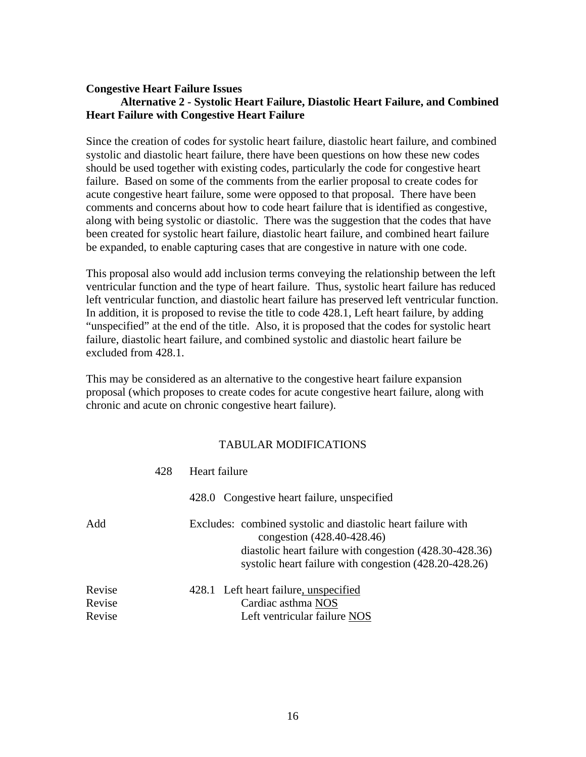### **Congestive Heart Failure Issues Alternative 2 - Systolic Heart Failure, Diastolic Heart Failure, and Combined Heart Failure with Congestive Heart Failure**

Since the creation of codes for systolic heart failure, diastolic heart failure, and combined systolic and diastolic heart failure, there have been questions on how these new codes should be used together with existing codes, particularly the code for congestive heart failure. Based on some of the comments from the earlier proposal to create codes for acute congestive heart failure, some were opposed to that proposal. There have been comments and concerns about how to code heart failure that is identified as congestive, along with being systolic or diastolic. There was the suggestion that the codes that have been created for systolic heart failure, diastolic heart failure, and combined heart failure be expanded, to enable capturing cases that are congestive in nature with one code.

This proposal also would add inclusion terms conveying the relationship between the left ventricular function and the type of heart failure. Thus, systolic heart failure has reduced left ventricular function, and diastolic heart failure has preserved left ventricular function. In addition, it is proposed to revise the title to code 428.1, Left heart failure, by adding "unspecified" at the end of the title. Also, it is proposed that the codes for systolic heart failure, diastolic heart failure, and combined systolic and diastolic heart failure be excluded from 428.1.

This may be considered as an alternative to the congestive heart failure expansion proposal (which proposes to create codes for acute congestive heart failure, along with chronic and acute on chronic congestive heart failure).

|        | 428 | Heart failure                                                                                                                                                                                                   |
|--------|-----|-----------------------------------------------------------------------------------------------------------------------------------------------------------------------------------------------------------------|
|        |     | 428.0 Congestive heart failure, unspecified                                                                                                                                                                     |
| Add    |     | Excludes: combined systolic and diastolic heart failure with<br>congestion (428.40-428.46)<br>diastolic heart failure with congestion (428.30-428.36)<br>systolic heart failure with congestion (428.20-428.26) |
| Revise |     | 428.1 Left heart failure, unspecified                                                                                                                                                                           |
| Revise |     | Cardiac asthma NOS                                                                                                                                                                                              |
| Revise |     | Left ventricular failure NOS                                                                                                                                                                                    |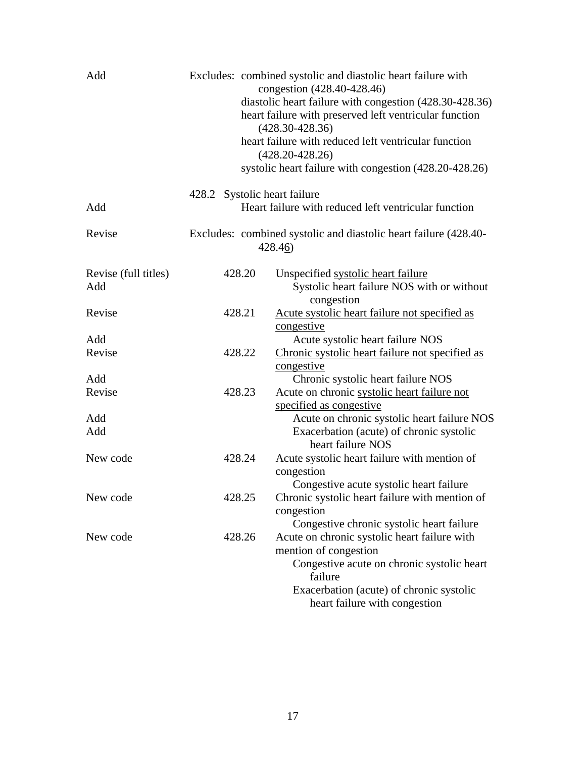| Add                         |                              | Excludes: combined systolic and diastolic heart failure with<br>congestion (428.40-428.46)<br>diastolic heart failure with congestion (428.30-428.36)<br>heart failure with preserved left ventricular function<br>$(428.30 - 428.36)$<br>heart failure with reduced left ventricular function<br>$(428.20 - 428.26)$<br>systolic heart failure with congestion (428.20-428.26) |
|-----------------------------|------------------------------|---------------------------------------------------------------------------------------------------------------------------------------------------------------------------------------------------------------------------------------------------------------------------------------------------------------------------------------------------------------------------------|
| Add                         | 428.2 Systolic heart failure | Heart failure with reduced left ventricular function                                                                                                                                                                                                                                                                                                                            |
| Revise                      |                              | Excludes: combined systolic and diastolic heart failure (428.40-<br>428.46)                                                                                                                                                                                                                                                                                                     |
| Revise (full titles)<br>Add | 428.20                       | Unspecified systolic heart failure<br>Systolic heart failure NOS with or without<br>congestion                                                                                                                                                                                                                                                                                  |
| Revise                      | 428.21                       | Acute systolic heart failure not specified as<br>congestive                                                                                                                                                                                                                                                                                                                     |
| Add<br>Revise               | 428.22                       | Acute systolic heart failure NOS<br>Chronic systolic heart failure not specified as<br>congestive                                                                                                                                                                                                                                                                               |
| Add<br>Revise               | 428.23                       | Chronic systolic heart failure NOS<br>Acute on chronic systolic heart failure not<br>specified as congestive                                                                                                                                                                                                                                                                    |
| Add<br>Add                  |                              | Acute on chronic systolic heart failure NOS<br>Exacerbation (acute) of chronic systolic<br>heart failure NOS                                                                                                                                                                                                                                                                    |
| New code                    | 428.24                       | Acute systolic heart failure with mention of<br>congestion<br>Congestive acute systolic heart failure                                                                                                                                                                                                                                                                           |
| New code                    | 428.25                       | Chronic systolic heart failure with mention of<br>congestion<br>Congestive chronic systolic heart failure                                                                                                                                                                                                                                                                       |
| New code                    | 428.26                       | Acute on chronic systolic heart failure with<br>mention of congestion<br>Congestive acute on chronic systolic heart<br>failure<br>Exacerbation (acute) of chronic systolic<br>heart failure with congestion                                                                                                                                                                     |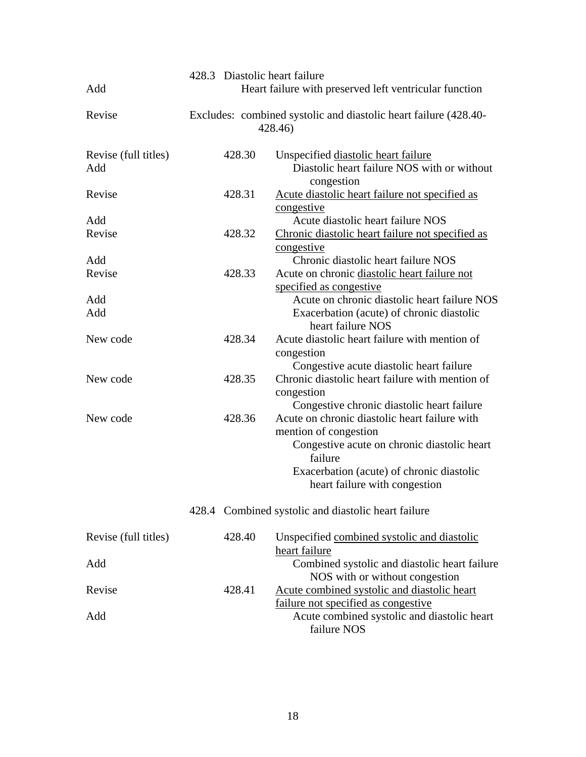| Add                         |        | 428.3 Diastolic heart failure<br>Heart failure with preserved left ventricular function                              |
|-----------------------------|--------|----------------------------------------------------------------------------------------------------------------------|
| Revise                      |        | Excludes: combined systolic and diastolic heart failure (428.40-<br>428.46)                                          |
| Revise (full titles)<br>Add | 428.30 | Unspecified diastolic heart failure<br>Diastolic heart failure NOS with or without<br>congestion                     |
| Revise                      | 428.31 | Acute diastolic heart failure not specified as<br>congestive                                                         |
| Add<br>Revise               | 428.32 | Acute diastolic heart failure NOS<br>Chronic diastolic heart failure not specified as                                |
| Add<br>Revise               | 428.33 | congestive<br>Chronic diastolic heart failure NOS<br>Acute on chronic diastolic heart failure not                    |
| Add<br>Add                  |        | specified as congestive<br>Acute on chronic diastolic heart failure NOS<br>Exacerbation (acute) of chronic diastolic |
| New code                    | 428.34 | heart failure NOS<br>Acute diastolic heart failure with mention of                                                   |
|                             |        | congestion<br>Congestive acute diastolic heart failure                                                               |
| New code                    | 428.35 | Chronic diastolic heart failure with mention of<br>congestion<br>Congestive chronic diastolic heart failure          |
| New code                    | 428.36 | Acute on chronic diastolic heart failure with<br>mention of congestion                                               |
|                             |        | Congestive acute on chronic diastolic heart<br>failure                                                               |
|                             |        | Exacerbation (acute) of chronic diastolic<br>heart failure with congestion                                           |
|                             |        | 428.4 Combined systolic and diastolic heart failure                                                                  |
| Revise (full titles)        | 428.40 | Unspecified combined systolic and diastolic<br>heart failure                                                         |
| Add                         |        | Combined systolic and diastolic heart failure<br>NOS with or without congestion                                      |
| Revise                      | 428.41 | Acute combined systolic and diastolic heart<br>failure not specified as congestive                                   |
| Add                         |        | Acute combined systolic and diastolic heart<br>failure NOS                                                           |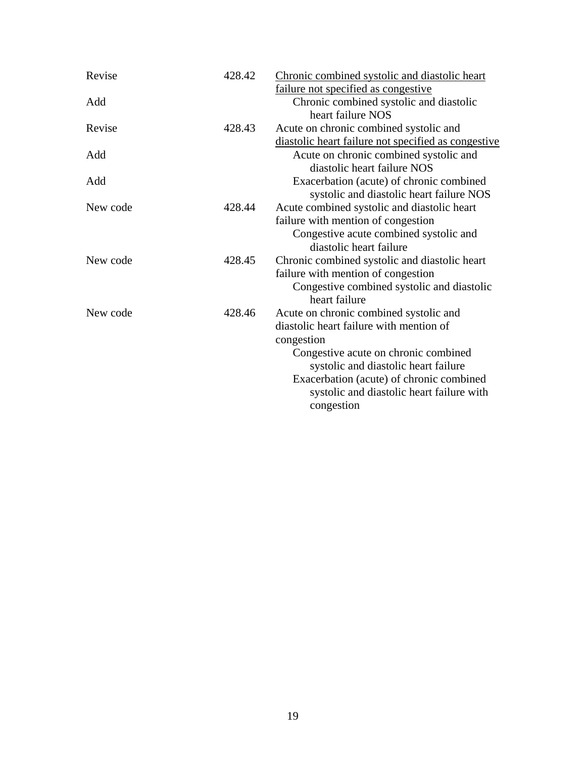| Revise   | 428.42 | Chronic combined systolic and diastolic heart       |
|----------|--------|-----------------------------------------------------|
|          |        | failure not specified as congestive                 |
| Add      |        | Chronic combined systolic and diastolic             |
|          |        | heart failure NOS                                   |
| Revise   | 428.43 | Acute on chronic combined systolic and              |
|          |        | diastolic heart failure not specified as congestive |
| Add      |        | Acute on chronic combined systolic and              |
|          |        | diastolic heart failure NOS                         |
| Add      |        | Exacerbation (acute) of chronic combined            |
|          |        | systolic and diastolic heart failure NOS            |
| New code | 428.44 | Acute combined systolic and diastolic heart         |
|          |        | failure with mention of congestion                  |
|          |        | Congestive acute combined systolic and              |
|          |        | diastolic heart failure                             |
| New code | 428.45 | Chronic combined systolic and diastolic heart       |
|          |        | failure with mention of congestion                  |
|          |        | Congestive combined systolic and diastolic          |
|          |        | heart failure                                       |
| New code | 428.46 | Acute on chronic combined systolic and              |
|          |        | diastolic heart failure with mention of             |
|          |        | congestion                                          |
|          |        | Congestive acute on chronic combined                |
|          |        | systolic and diastolic heart failure                |
|          |        | Exacerbation (acute) of chronic combined            |
|          |        | systolic and diastolic heart failure with           |
|          |        | congestion                                          |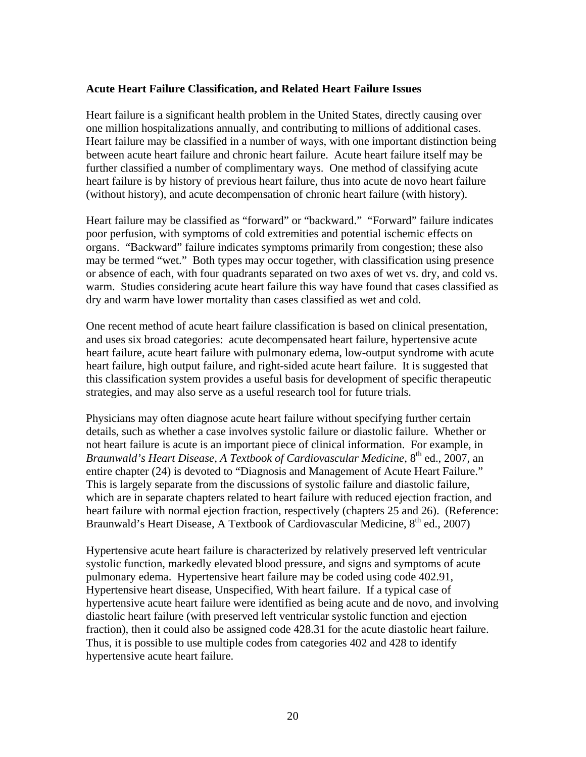### <span id="page-19-0"></span>**Acute Heart Failure Classification, and Related Heart Failure Issues**

Heart failure is a significant health problem in the United States, directly causing over one million hospitalizations annually, and contributing to millions of additional cases. Heart failure may be classified in a number of ways, with one important distinction being between acute heart failure and chronic heart failure. Acute heart failure itself may be further classified a number of complimentary ways. One method of classifying acute heart failure is by history of previous heart failure, thus into acute de novo heart failure (without history), and acute decompensation of chronic heart failure (with history).

Heart failure may be classified as "forward" or "backward." "Forward" failure indicates poor perfusion, with symptoms of cold extremities and potential ischemic effects on organs. "Backward" failure indicates symptoms primarily from congestion; these also may be termed "wet." Both types may occur together, with classification using presence or absence of each, with four quadrants separated on two axes of wet vs. dry, and cold vs. warm. Studies considering acute heart failure this way have found that cases classified as dry and warm have lower mortality than cases classified as wet and cold.

One recent method of acute heart failure classification is based on clinical presentation, and uses six broad categories: acute decompensated heart failure, hypertensive acute heart failure, acute heart failure with pulmonary edema, low-output syndrome with acute heart failure, high output failure, and right-sided acute heart failure. It is suggested that this classification system provides a useful basis for development of specific therapeutic strategies, and may also serve as a useful research tool for future trials.

Physicians may often diagnose acute heart failure without specifying further certain details, such as whether a case involves systolic failure or diastolic failure. Whether or not heart failure is acute is an important piece of clinical information. For example, in *Braunwald's Heart Disease, A Textbook of Cardiovascular Medicine*, 8<sup>th</sup> ed., 2007, an entire chapter (24) is devoted to "Diagnosis and Management of Acute Heart Failure." This is largely separate from the discussions of systolic failure and diastolic failure, which are in separate chapters related to heart failure with reduced ejection fraction, and heart failure with normal ejection fraction, respectively (chapters 25 and 26). (Reference: Braunwald's Heart Disease, A Textbook of Cardiovascular Medicine,  $8<sup>th</sup>$  ed., 2007)

Hypertensive acute heart failure is characterized by relatively preserved left ventricular systolic function, markedly elevated blood pressure, and signs and symptoms of acute pulmonary edema. Hypertensive heart failure may be coded using code 402.91, Hypertensive heart disease, Unspecified, With heart failure. If a typical case of hypertensive acute heart failure were identified as being acute and de novo, and involving diastolic heart failure (with preserved left ventricular systolic function and ejection fraction), then it could also be assigned code 428.31 for the acute diastolic heart failure. Thus, it is possible to use multiple codes from categories 402 and 428 to identify hypertensive acute heart failure.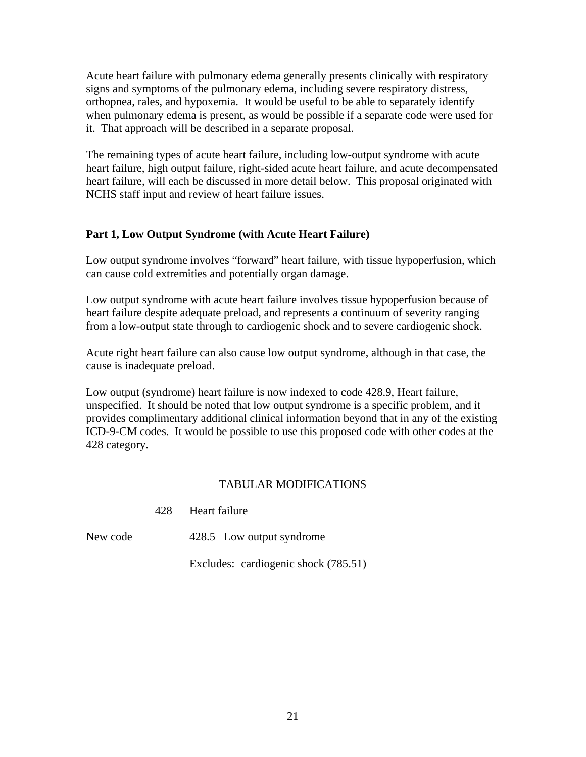Acute heart failure with pulmonary edema generally presents clinically with respiratory signs and symptoms of the pulmonary edema, including severe respiratory distress, orthopnea, rales, and hypoxemia. It would be useful to be able to separately identify when pulmonary edema is present, as would be possible if a separate code were used for it. That approach will be described in a separate proposal.

The remaining types of acute heart failure, including low-output syndrome with acute heart failure, high output failure, right-sided acute heart failure, and acute decompensated heart failure, will each be discussed in more detail below. This proposal originated with NCHS staff input and review of heart failure issues.

## **Part 1, Low Output Syndrome (with Acute Heart Failure)**

Low output syndrome involves "forward" heart failure, with tissue hypoperfusion, which can cause cold extremities and potentially organ damage.

Low output syndrome with acute heart failure involves tissue hypoperfusion because of heart failure despite adequate preload, and represents a continuum of severity ranging from a low-output state through to cardiogenic shock and to severe cardiogenic shock.

Acute right heart failure can also cause low output syndrome, although in that case, the cause is inadequate preload.

Low output (syndrome) heart failure is now indexed to code 428.9, Heart failure, unspecified. It should be noted that low output syndrome is a specific problem, and it provides complimentary additional clinical information beyond that in any of the existing ICD-9-CM codes. It would be possible to use this proposed code with other codes at the 428 category.

## TABULAR MODIFICATIONS

| Heart failure |
|---------------|
|               |

New code 428.5 Low output syndrome

Excludes: cardiogenic shock (785.51)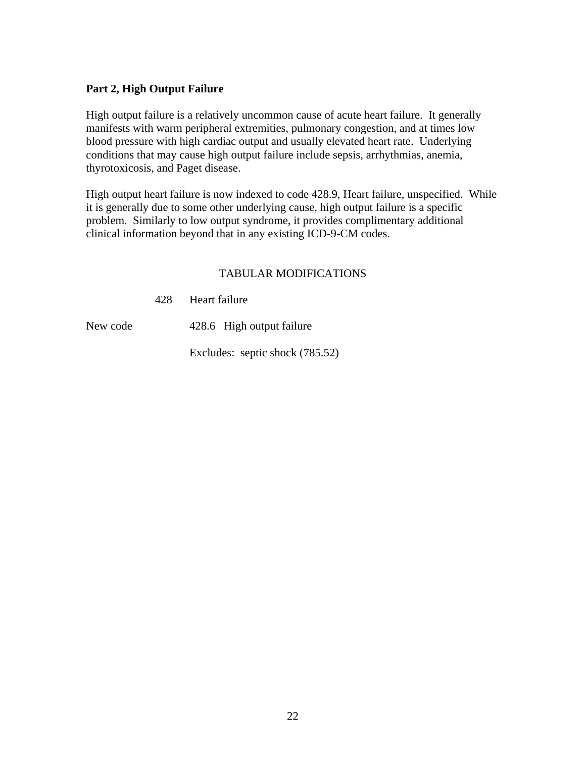## **Part 2, High Output Failure**

High output failure is a relatively uncommon cause of acute heart failure. It generally manifests with warm peripheral extremities, pulmonary congestion, and at times low blood pressure with high cardiac output and usually elevated heart rate. Underlying conditions that may cause high output failure include sepsis, arrhythmias, anemia, thyrotoxicosis, and Paget disease.

High output heart failure is now indexed to code 428.9, Heart failure, unspecified. While it is generally due to some other underlying cause, high output failure is a specific problem. Similarly to low output syndrome, it provides complimentary additional clinical information beyond that in any existing ICD-9-CM codes.

## TABULAR MODIFICATIONS

428 Heart failure

New code 428.6 High output failure

Excludes: septic shock (785.52)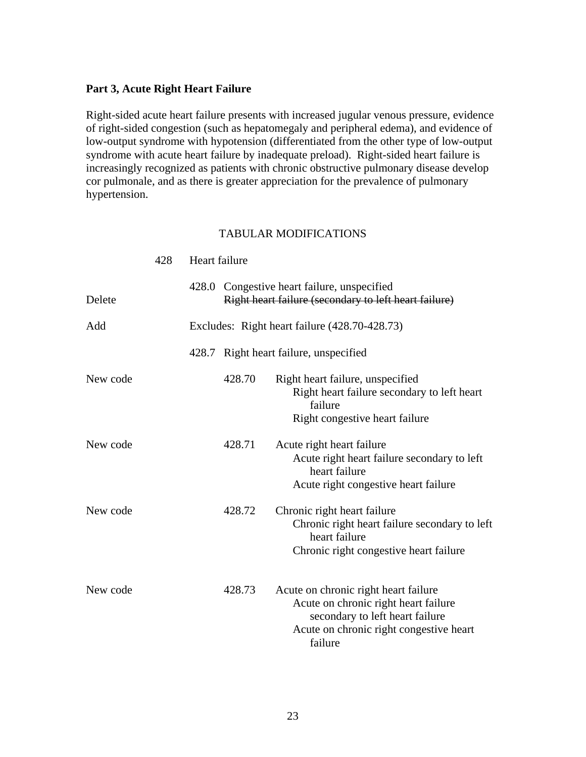#### **Part 3, Acute Right Heart Failure**

Right-sided acute heart failure presents with increased jugular venous pressure, evidence of right-sided congestion (such as hepatomegaly and peripheral edema), and evidence of low-output syndrome with hypotension (differentiated from the other type of low-output syndrome with acute heart failure by inadequate preload). Right-sided heart failure is increasingly recognized as patients with chronic obstructive pulmonary disease develop cor pulmonale, and as there is greater appreciation for the prevalence of pulmonary hypertension.

|          | 428 | Heart failure |        |                                                                                                                                                                       |
|----------|-----|---------------|--------|-----------------------------------------------------------------------------------------------------------------------------------------------------------------------|
| Delete   |     |               |        | 428.0 Congestive heart failure, unspecified<br>Right heart failure (secondary to left heart failure)                                                                  |
| Add      |     |               |        | Excludes: Right heart failure (428.70-428.73)                                                                                                                         |
|          |     |               |        | 428.7 Right heart failure, unspecified                                                                                                                                |
| New code |     |               | 428.70 | Right heart failure, unspecified<br>Right heart failure secondary to left heart<br>failure<br>Right congestive heart failure                                          |
| New code |     |               | 428.71 | Acute right heart failure<br>Acute right heart failure secondary to left<br>heart failure<br>Acute right congestive heart failure                                     |
| New code |     |               | 428.72 | Chronic right heart failure<br>Chronic right heart failure secondary to left<br>heart failure<br>Chronic right congestive heart failure                               |
| New code |     |               | 428.73 | Acute on chronic right heart failure<br>Acute on chronic right heart failure<br>secondary to left heart failure<br>Acute on chronic right congestive heart<br>failure |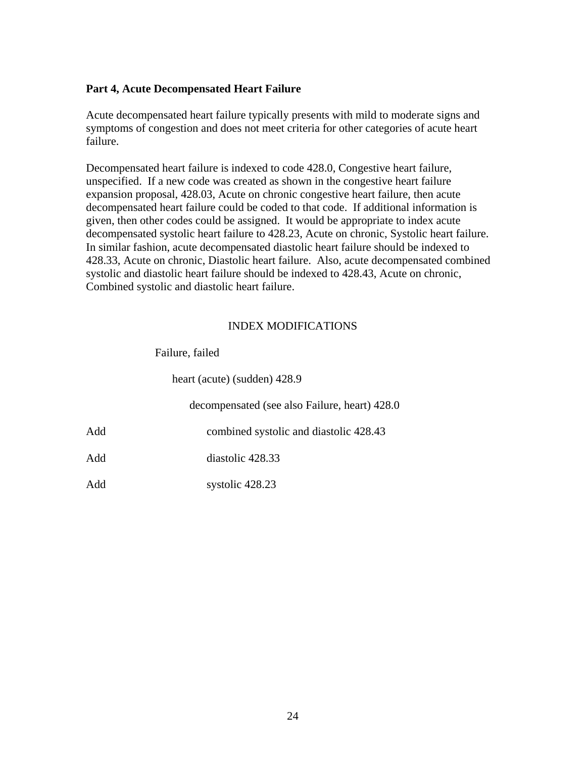## **Part 4, Acute Decompensated Heart Failure**

Acute decompensated heart failure typically presents with mild to moderate signs and symptoms of congestion and does not meet criteria for other categories of acute heart failure.

Decompensated heart failure is indexed to code 428.0, Congestive heart failure, unspecified. If a new code was created as shown in the congestive heart failure expansion proposal, 428.03, Acute on chronic congestive heart failure, then acute decompensated heart failure could be coded to that code. If additional information is given, then other codes could be assigned. It would be appropriate to index acute decompensated systolic heart failure to 428.23, Acute on chronic, Systolic heart failure. In similar fashion, acute decompensated diastolic heart failure should be indexed to 428.33, Acute on chronic, Diastolic heart failure. Also, acute decompensated combined systolic and diastolic heart failure should be indexed to 428.43, Acute on chronic, Combined systolic and diastolic heart failure.

## INDEX MODIFICATIONS

| Failure, failed |
|-----------------|
|                 |

heart (acute) (sudden) 428.9

decompensated (see also Failure, heart) 428.0

Add combined systolic and diastolic 428.43

Add diastolic 428.33

Add systolic 428.23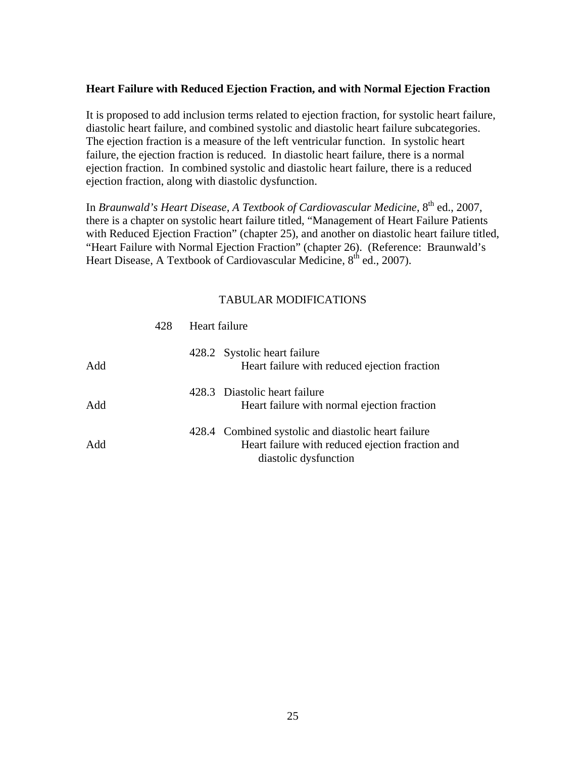## <span id="page-24-0"></span>**Heart Failure with Reduced Ejection Fraction, and with Normal Ejection Fraction**

It is proposed to add inclusion terms related to ejection fraction, for systolic heart failure, diastolic heart failure, and combined systolic and diastolic heart failure subcategories. The ejection fraction is a measure of the left ventricular function. In systolic heart failure, the ejection fraction is reduced. In diastolic heart failure, there is a normal ejection fraction. In combined systolic and diastolic heart failure, there is a reduced ejection fraction, along with diastolic dysfunction.

In *Braunwald's Heart Disease, A Textbook of Cardiovascular Medicine*, 8<sup>th</sup> ed., 2007, there is a chapter on systolic heart failure titled, "Management of Heart Failure Patients with Reduced Ejection Fraction" (chapter 25), and another on diastolic heart failure titled, "Heart Failure with Normal Ejection Fraction" (chapter 26). (Reference: Braunwald's Heart Disease, A Textbook of Cardiovascular Medicine,  $8<sup>th</sup>$  ed., 2007).

|     | 428 | Heart failure |                                                                                                                                  |
|-----|-----|---------------|----------------------------------------------------------------------------------------------------------------------------------|
| Add |     |               | 428.2 Systolic heart failure<br>Heart failure with reduced ejection fraction                                                     |
| Add |     |               | 428.3 Diastolic heart failure<br>Heart failure with normal ejection fraction                                                     |
| Add |     |               | 428.4 Combined systolic and diastolic heart failure<br>Heart failure with reduced ejection fraction and<br>diastolic dysfunction |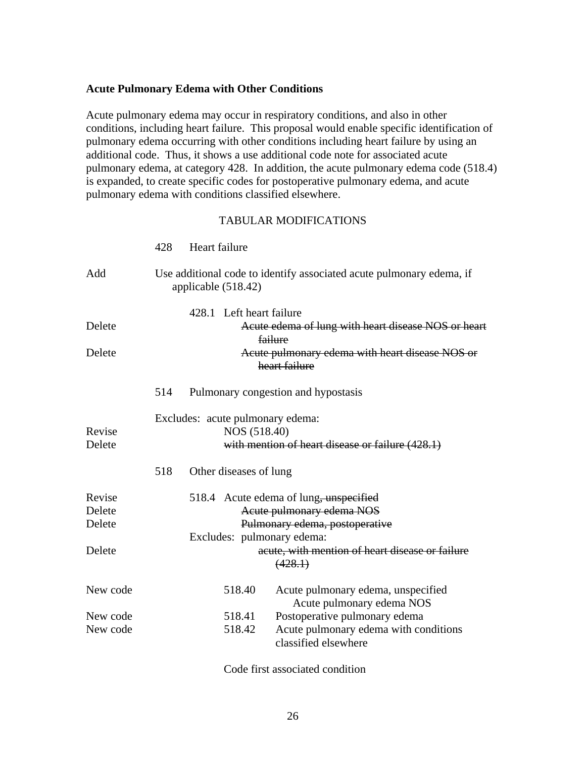### <span id="page-25-0"></span>**Acute Pulmonary Edema with Other Conditions**

Acute pulmonary edema may occur in respiratory conditions, and also in other conditions, including heart failure. This proposal would enable specific identification of pulmonary edema occurring with other conditions including heart failure by using an additional code. Thus, it shows a use additional code note for associated acute pulmonary edema, at category 428. In addition, the acute pulmonary edema code (518.4) is expanded, to create specific codes for postoperative pulmonary edema, and acute pulmonary edema with conditions classified elsewhere.

#### TABULAR MODIFICATIONS

|                            | 428 | Heart failure                                    |                                                                                                       |
|----------------------------|-----|--------------------------------------------------|-------------------------------------------------------------------------------------------------------|
| Add                        |     | applicable $(518.42)$                            | Use additional code to identify associated acute pulmonary edema, if                                  |
| Delete                     |     | 428.1 Left heart failure                         | Acute edema of lung with heart disease NOS or heart<br><u>failure</u>                                 |
| Delete                     |     |                                                  | Acute pulmonary edema with heart disease NOS or<br>heart failure                                      |
|                            | 514 |                                                  | Pulmonary congestion and hypostasis                                                                   |
| Revise<br>Delete           |     | Excludes: acute pulmonary edema:<br>NOS (518.40) | with mention of heart disease or failure (428.1)                                                      |
|                            | 518 | Other diseases of lung                           |                                                                                                       |
| Revise<br>Delete<br>Delete |     | Excludes: pulmonary edema:                       | 518.4 Acute edema of lung, unspecified<br>Acute pulmonary edema NOS<br>Pulmonary edema, postoperative |
| Delete                     |     |                                                  | acute, with mention of heart disease or failure<br>(428.1)                                            |
| New code                   |     | 518.40                                           | Acute pulmonary edema, unspecified<br>Acute pulmonary edema NOS                                       |
| New code<br>New code       |     | 518.41<br>518.42                                 | Postoperative pulmonary edema<br>Acute pulmonary edema with conditions<br>classified elsewhere        |

Code first associated condition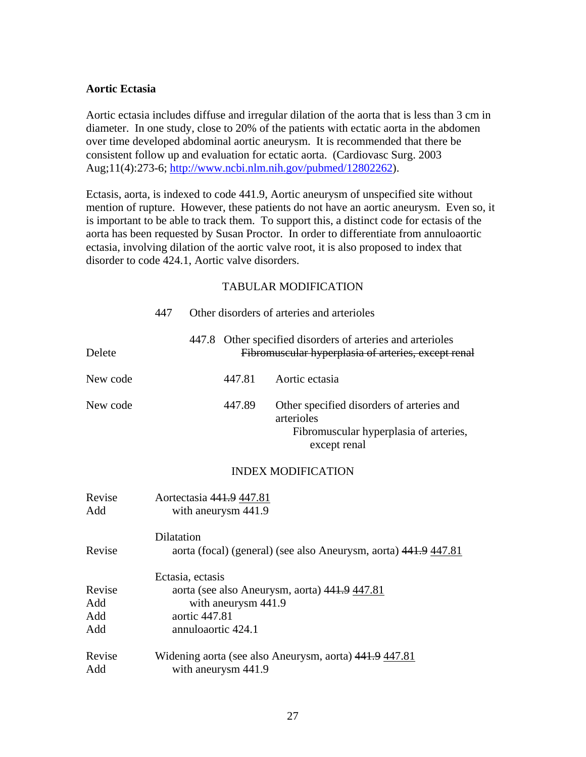## <span id="page-26-0"></span>**Aortic Ectasia**

Aortic ectasia includes diffuse and irregular dilation of the aorta that is less than 3 cm in diameter. In one study, close to 20% of the patients with ectatic aorta in the abdomen over time developed abdominal aortic aneurysm. It is recommended that there be consistent follow up and evaluation for ectatic aorta. (Cardiovasc Surg. 2003 Aug;11(4):273-6; <http://www.ncbi.nlm.nih.gov/pubmed/12802262>).

Ectasis, aorta, is indexed to code 441.9, Aortic aneurysm of unspecified site without mention of rupture. However, these patients do not have an aortic aneurysm. Even so, it is important to be able to track them. To support this, a distinct code for ectasis of the aorta has been requested by Susan Proctor. In order to differentiate from annuloaortic ectasia, involving dilation of the aortic valve root, it is also proposed to index that disorder to code 424.1, Aortic valve disorders.

|                             | 447                                                                                                                             |  |                                                 | Other disorders of arteries and arterioles                                                                        |
|-----------------------------|---------------------------------------------------------------------------------------------------------------------------------|--|-------------------------------------------------|-------------------------------------------------------------------------------------------------------------------|
| Delete                      |                                                                                                                                 |  |                                                 | 447.8 Other specified disorders of arteries and arterioles<br>Fibromuscular hyperplasia of arteries, except renal |
| New code                    |                                                                                                                                 |  | 447.81                                          | Aortic ectasia                                                                                                    |
| New code                    |                                                                                                                                 |  | 447.89                                          | Other specified disorders of arteries and<br>arterioles<br>Fibromuscular hyperplasia of arteries,<br>except renal |
|                             |                                                                                                                                 |  |                                                 | <b>INDEX MODIFICATION</b>                                                                                         |
| Revise<br>Add               |                                                                                                                                 |  | Aortectasia 441.9 447.81<br>with aneurysm 441.9 |                                                                                                                   |
| Revise                      | Dilatation                                                                                                                      |  |                                                 | aorta (focal) (general) (see also Aneurysm, aorta) 441.9 447.81                                                   |
| Revise<br>Add<br>Add<br>Add | Ectasia, ectasis<br>aorta (see also Aneurysm, aorta) 441.9 447.81<br>with aneurysm 441.9<br>aortic 447.81<br>annuloaortic 424.1 |  |                                                 |                                                                                                                   |
| Revise<br>Add               |                                                                                                                                 |  | with aneurysm 441.9                             | Widening aorta (see also Aneurysm, aorta) 441.9 447.81                                                            |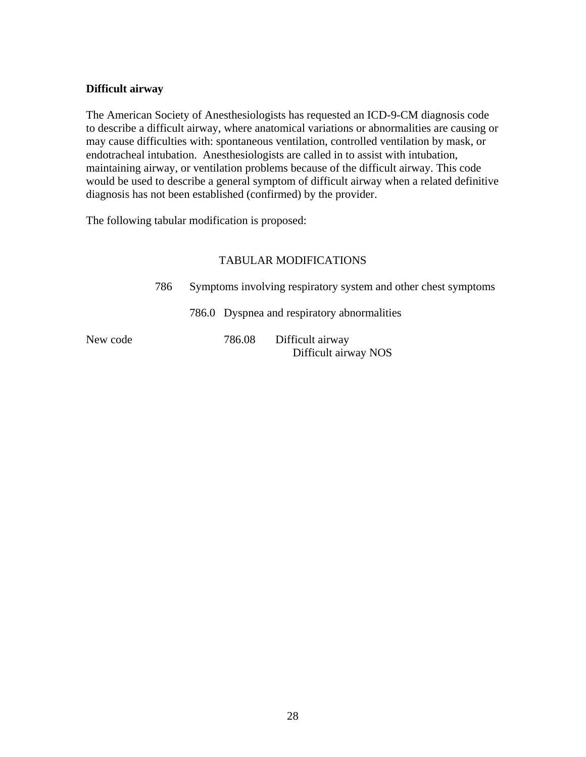## <span id="page-27-0"></span>**Difficult airway**

The American Society of Anesthesiologists has requested an ICD-9-CM diagnosis code to describe a difficult airway, where anatomical variations or abnormalities are causing or may cause difficulties with: spontaneous ventilation, controlled ventilation by mask, or endotracheal intubation. Anesthesiologists are called in to assist with intubation, maintaining airway, or ventilation problems because of the difficult airway. This code would be used to describe a general symptom of difficult airway when a related definitive diagnosis has not been established (confirmed) by the provider.

The following tabular modification is proposed:

|          | 786 |        | Symptoms involving respiratory system and other chest symptoms |  |  |
|----------|-----|--------|----------------------------------------------------------------|--|--|
|          |     |        | 786.0 Dyspnea and respiratory abnormalities                    |  |  |
| New code |     | 786.08 | Difficult airway<br>Difficult airway NOS                       |  |  |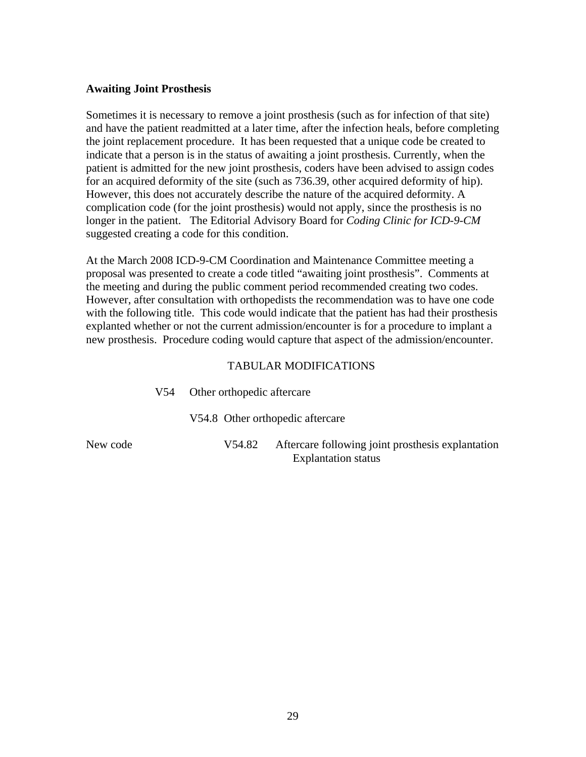### <span id="page-28-0"></span>**Awaiting Joint Prosthesis**

Sometimes it is necessary to remove a joint prosthesis (such as for infection of that site) and have the patient readmitted at a later time, after the infection heals, before completing the joint replacement procedure. It has been requested that a unique code be created to indicate that a person is in the status of awaiting a joint prosthesis. Currently, when the patient is admitted for the new joint prosthesis, coders have been advised to assign codes for an acquired deformity of the site (such as 736.39, other acquired deformity of hip). However, this does not accurately describe the nature of the acquired deformity. A complication code (for the joint prosthesis) would not apply, since the prosthesis is no longer in the patient. The Editorial Advisory Board for *Coding Clinic for ICD-9-CM*  suggested creating a code for this condition.

At the March 2008 ICD-9-CM Coordination and Maintenance Committee meeting a proposal was presented to create a code titled "awaiting joint prosthesis". Comments at the meeting and during the public comment period recommended creating two codes. However, after consultation with orthopedists the recommendation was to have one code with the following title. This code would indicate that the patient has had their prosthesis explanted whether or not the current admission/encounter is for a procedure to implant a new prosthesis. Procedure coding would capture that aspect of the admission/encounter.

|          | V54. | Other orthopedic aftercare |                                                                                 |
|----------|------|----------------------------|---------------------------------------------------------------------------------|
|          |      |                            | V54.8 Other orthopedic aftercare                                                |
| New code |      | V54.82                     | Aftercare following joint prosthesis explantation<br><b>Explantation status</b> |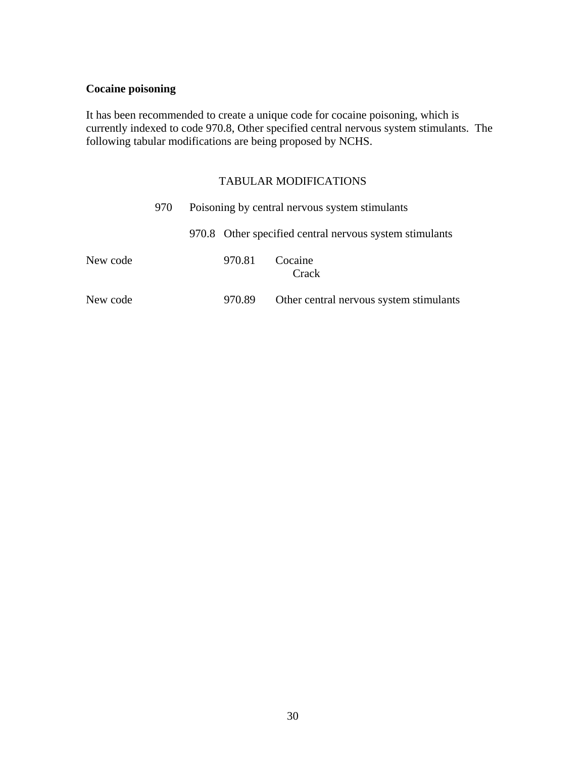## <span id="page-29-0"></span>**Cocaine poisoning**

It has been recommended to create a unique code for cocaine poisoning, which is currently indexed to code 970.8, Other specified central nervous system stimulants. The following tabular modifications are being proposed by NCHS.

|          | 970 |        | Poisoning by central nervous system stimulants          |
|----------|-----|--------|---------------------------------------------------------|
|          |     |        | 970.8 Other specified central nervous system stimulants |
| New code |     | 970.81 | Cocaine<br>Crack                                        |
| New code |     | 970.89 | Other central nervous system stimulants                 |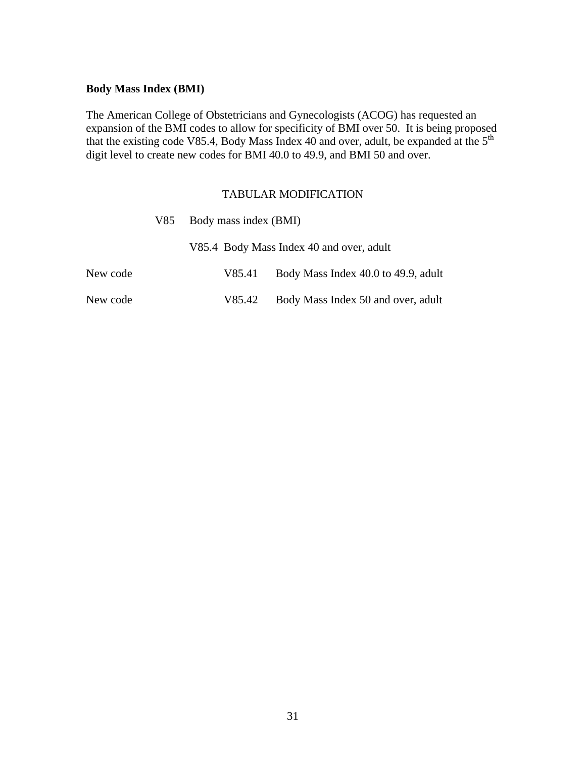## <span id="page-30-0"></span>**Body Mass Index (BMI)**

The American College of Obstetricians and Gynecologists (ACOG) has requested an expansion of the BMI codes to allow for specificity of BMI over 50. It is being proposed that the existing code V85.4, Body Mass Index 40 and over, adult, be expanded at the  $5<sup>th</sup>$ digit level to create new codes for BMI 40.0 to 49.9, and BMI 50 and over.

|          | V85 Body mass index (BMI) |                                          |  |  |  |
|----------|---------------------------|------------------------------------------|--|--|--|
|          |                           | V85.4 Body Mass Index 40 and over, adult |  |  |  |
| New code | V85.41                    | Body Mass Index 40.0 to 49.9, adult      |  |  |  |
| New code | V85.42                    | Body Mass Index 50 and over, adult       |  |  |  |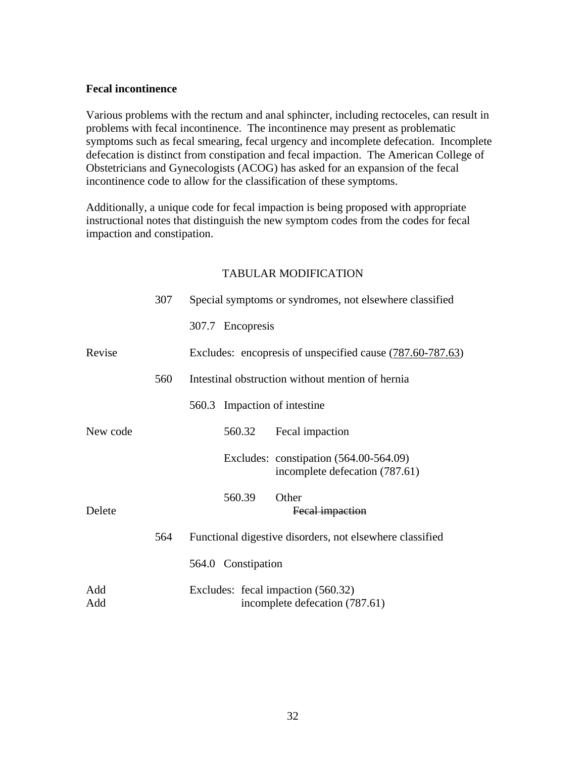## <span id="page-31-0"></span>**Fecal incontinence**

Various problems with the rectum and anal sphincter, including rectoceles, can result in problems with fecal incontinence. The incontinence may present as problematic symptoms such as fecal smearing, fecal urgency and incomplete defecation. Incomplete defecation is distinct from constipation and fecal impaction. The American College of Obstetricians and Gynecologists (ACOG) has asked for an expansion of the fecal incontinence code to allow for the classification of these symptoms.

Additionally, a unique code for fecal impaction is being proposed with appropriate instructional notes that distinguish the new symptom codes from the codes for fecal impaction and constipation.

|            | 307 |                    | Special symptoms or syndromes, not elsewhere classified                    |
|------------|-----|--------------------|----------------------------------------------------------------------------|
|            |     | 307.7 Encopresis   |                                                                            |
| Revise     |     |                    | Excludes: encopresis of unspecified cause (787.60-787.63)                  |
|            | 560 |                    | Intestinal obstruction without mention of hernia                           |
|            |     |                    | 560.3 Impaction of intestine                                               |
| New code   |     | 560.32             | Fecal impaction                                                            |
|            |     |                    | Excludes: constipation $(564.00-564.09)$<br>incomplete defecation (787.61) |
| Delete     |     | 560.39             | Other<br>Fecal impaction                                                   |
|            | 564 |                    | Functional digestive disorders, not elsewhere classified                   |
|            |     | 564.0 Constipation |                                                                            |
| Add<br>Add |     |                    | Excludes: fecal impaction (560.32)<br>incomplete defecation (787.61)       |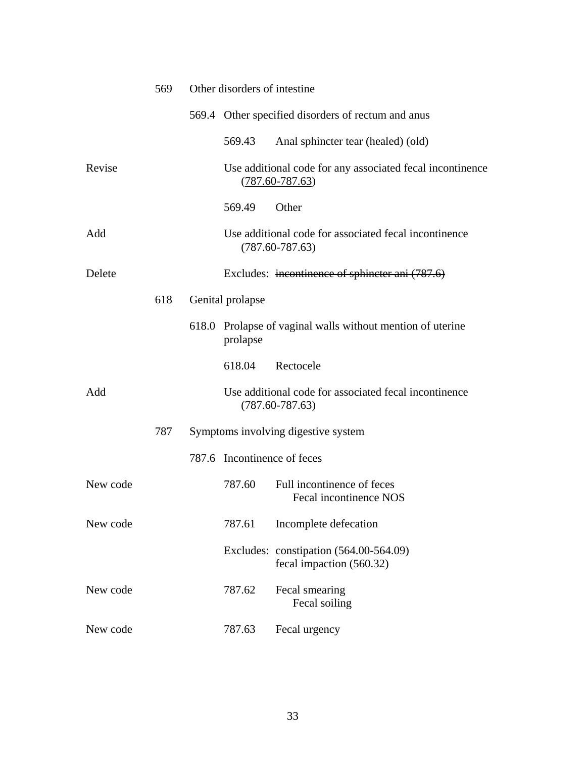|          | 569 | Other disorders of intestine |                                                                                  |  |
|----------|-----|------------------------------|----------------------------------------------------------------------------------|--|
|          |     |                              | 569.4 Other specified disorders of rectum and anus                               |  |
|          |     | 569.43                       | Anal sphincter tear (healed) (old)                                               |  |
| Revise   |     |                              | Use additional code for any associated fecal incontinence<br>$(787.60 - 787.63)$ |  |
|          |     | 569.49                       | Other                                                                            |  |
| Add      |     |                              | Use additional code for associated fecal incontinence<br>$(787.60 - 787.63)$     |  |
| Delete   |     |                              | Excludes: incontinence of sphincter ani (787.6)                                  |  |
|          | 618 | Genital prolapse             |                                                                                  |  |
|          |     | prolapse                     | 618.0 Prolapse of vaginal walls without mention of uterine                       |  |
|          |     | 618.04                       | Rectocele                                                                        |  |
| Add      |     |                              | Use additional code for associated fecal incontinence<br>$(787.60 - 787.63)$     |  |
|          | 787 |                              | Symptoms involving digestive system                                              |  |
|          |     | 787.6 Incontinence of feces  |                                                                                  |  |
| New code |     | 787.60                       | Full incontinence of feces<br><b>Fecal incontinence NOS</b>                      |  |
| New code |     | 787.61                       | Incomplete defecation                                                            |  |
|          |     |                              | Excludes: constipation (564.00-564.09)<br>fecal impaction (560.32)               |  |
| New code |     | 787.62                       | Fecal smearing<br>Fecal soiling                                                  |  |
| New code |     | 787.63                       | Fecal urgency                                                                    |  |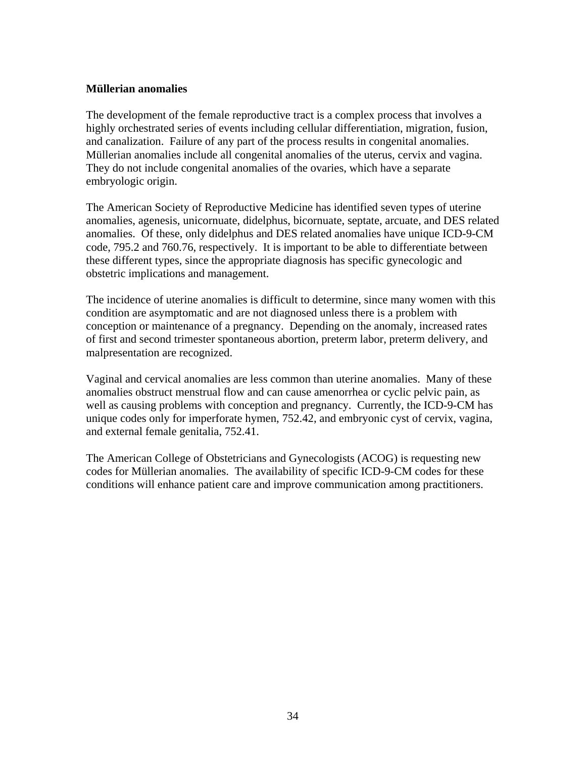## <span id="page-33-0"></span>**Müllerian anomalies**

The development of the female reproductive tract is a complex process that involves a highly orchestrated series of events including cellular differentiation, migration, fusion, and canalization. Failure of any part of the process results in congenital anomalies. Müllerian anomalies include all congenital anomalies of the uterus, cervix and vagina. They do not include congenital anomalies of the ovaries, which have a separate embryologic origin.

The American Society of Reproductive Medicine has identified seven types of uterine anomalies, agenesis, unicornuate, didelphus, bicornuate, septate, arcuate, and DES related anomalies. Of these, only didelphus and DES related anomalies have unique ICD-9-CM code, 795.2 and 760.76, respectively. It is important to be able to differentiate between these different types, since the appropriate diagnosis has specific gynecologic and obstetric implications and management.

The incidence of uterine anomalies is difficult to determine, since many women with this condition are asymptomatic and are not diagnosed unless there is a problem with conception or maintenance of a pregnancy. Depending on the anomaly, increased rates of first and second trimester spontaneous abortion, preterm labor, preterm delivery, and malpresentation are recognized.

Vaginal and cervical anomalies are less common than uterine anomalies. Many of these anomalies obstruct menstrual flow and can cause amenorrhea or cyclic pelvic pain, as well as causing problems with conception and pregnancy. Currently, the ICD-9-CM has unique codes only for imperforate hymen, 752.42, and embryonic cyst of cervix, vagina, and external female genitalia, 752.41.

The American College of Obstetricians and Gynecologists (ACOG) is requesting new codes for Müllerian anomalies. The availability of specific ICD-9-CM codes for these conditions will enhance patient care and improve communication among practitioners.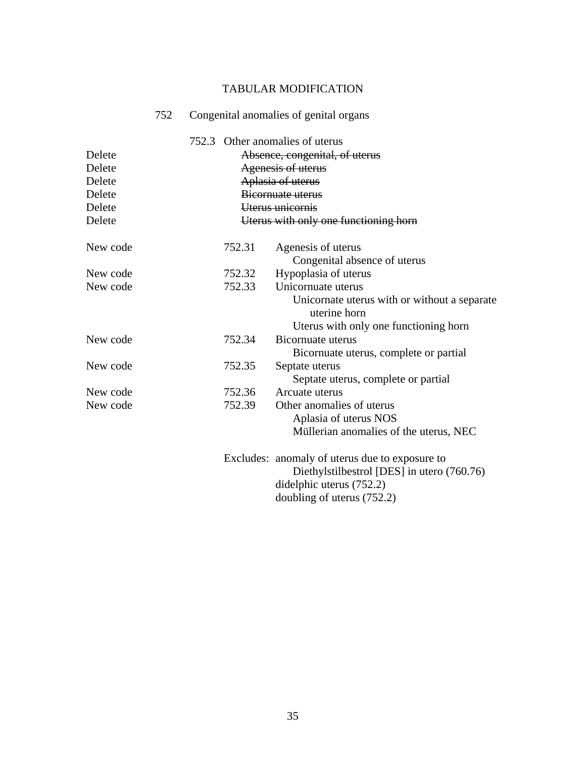|                                                | 752 |        | Congenital anomalies of genital organs                                                                                                                       |
|------------------------------------------------|-----|--------|--------------------------------------------------------------------------------------------------------------------------------------------------------------|
| Delete<br>Delete<br>Delete<br>Delete<br>Delete |     |        | 752.3 Other anomalies of uterus<br>Absence, congenital, of uterus<br><b>Agenesis of uterus</b><br>Aplasia of uterus<br>Bicornuate uterus<br>Uterus unicornis |
| Delete                                         |     |        | Uterus with only one functioning horn                                                                                                                        |
| New code                                       |     | 752.31 | Agenesis of uterus<br>Congenital absence of uterus                                                                                                           |
| New code                                       |     | 752.32 | Hypoplasia of uterus                                                                                                                                         |
| New code                                       |     | 752.33 | Unicornuate uterus<br>Unicornate uterus with or without a separate<br>uterine horn<br>Uterus with only one functioning horn                                  |
| New code                                       |     | 752.34 | Bicornuate uterus<br>Bicornuate uterus, complete or partial                                                                                                  |
| New code                                       |     | 752.35 | Septate uterus<br>Septate uterus, complete or partial                                                                                                        |
| New code                                       |     | 752.36 | Arcuate uterus                                                                                                                                               |
| New code                                       |     | 752.39 | Other anomalies of uterus<br>Aplasia of uterus NOS<br>Müllerian anomalies of the uterus, NEC                                                                 |
|                                                |     |        | Excludes: anomaly of uterus due to exposure to<br>Diethylstilbestrol [DES] in utero (760.76)<br>didelphic uterus (752.2)<br>doubling of uterus (752.2)       |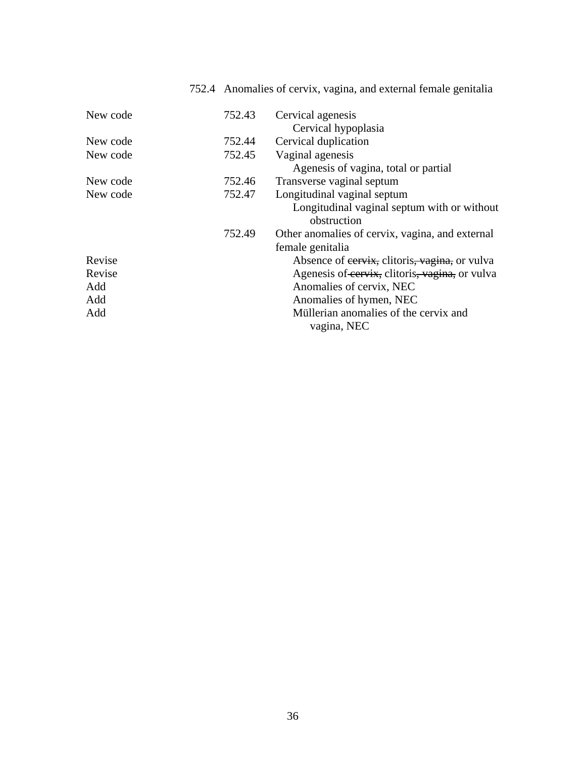| New code | 752.43 | Cervical agenesis                               |
|----------|--------|-------------------------------------------------|
|          |        | Cervical hypoplasia                             |
| New code | 752.44 | Cervical duplication                            |
| New code | 752.45 | Vaginal agenesis                                |
|          |        | Agenesis of vagina, total or partial            |
| New code | 752.46 | Transverse vaginal septum                       |
| New code | 752.47 | Longitudinal vaginal septum                     |
|          |        | Longitudinal vaginal septum with or without     |
|          |        | obstruction                                     |
|          | 752.49 | Other anomalies of cervix, vagina, and external |
|          |        | female genitalia                                |
| Revise   |        | Absence of eervix, clitoris, vagina, or vulva   |
| Revise   |        | Agenesis of cervix, clitoris, vagina, or vulva  |
| Add      |        | Anomalies of cervix, NEC                        |
| Add      |        | Anomalies of hymen, NEC                         |
| Add      |        | Müllerian anomalies of the cervix and           |
|          |        | vagina, NEC                                     |

## 752.4 Anomalies of cervix, vagina, and external female genitalia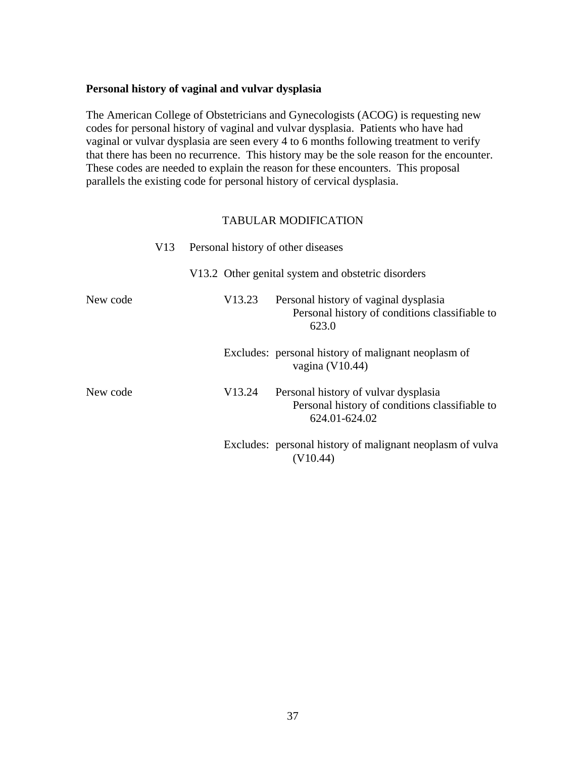### <span id="page-36-0"></span>**Personal history of vaginal and vulvar dysplasia**

The American College of Obstetricians and Gynecologists (ACOG) is requesting new codes for personal history of vaginal and vulvar dysplasia. Patients who have had vaginal or vulvar dysplasia are seen every 4 to 6 months following treatment to verify that there has been no recurrence. This history may be the sole reason for the encounter. These codes are needed to explain the reason for these encounters. This proposal parallels the existing code for personal history of cervical dysplasia.

|          | V13 | Personal history of other diseases |                                                                                                         |
|----------|-----|------------------------------------|---------------------------------------------------------------------------------------------------------|
|          |     |                                    | V13.2 Other genital system and obstetric disorders                                                      |
| New code |     | V13.23                             | Personal history of vaginal dysplasia<br>Personal history of conditions classifiable to<br>623.0        |
|          |     |                                    | Excludes: personal history of malignant neoplasm of<br>vagina $(V10.44)$                                |
| New code |     | V13.24                             | Personal history of vulvar dysplasia<br>Personal history of conditions classifiable to<br>624.01-624.02 |
|          |     |                                    | Excludes: personal history of malignant neoplasm of vulva<br>(V10.44)                                   |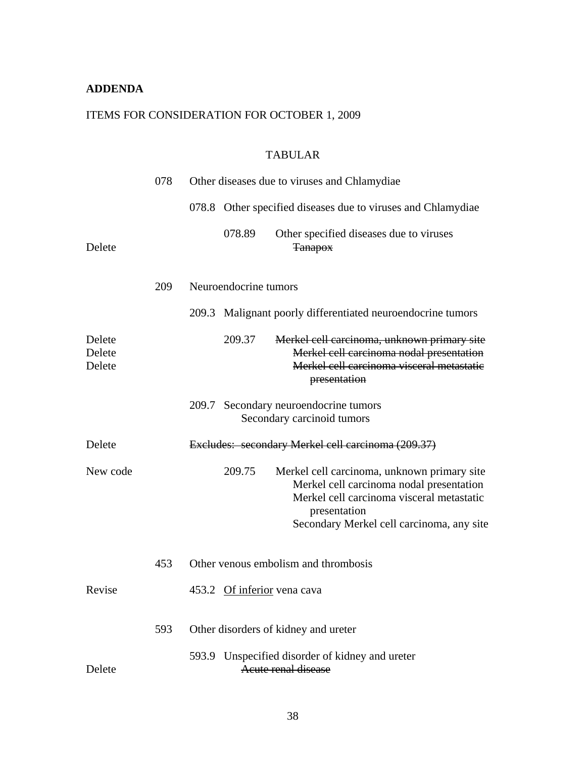## <span id="page-37-0"></span>**ADDENDA**

## ITEMS FOR CONSIDERATION FOR OCTOBER 1, 2009

## TABULAR

|                            | 078 |                       | Other diseases due to viruses and Chlamydiae                                                                                                                                                      |
|----------------------------|-----|-----------------------|---------------------------------------------------------------------------------------------------------------------------------------------------------------------------------------------------|
|                            |     |                       | 078.8 Other specified diseases due to viruses and Chlamydiae                                                                                                                                      |
| Delete                     |     | 078.89                | Other specified diseases due to viruses<br><b>Tanapox</b>                                                                                                                                         |
|                            | 209 | Neuroendocrine tumors |                                                                                                                                                                                                   |
|                            |     |                       | 209.3 Malignant poorly differentiated neuroendocrine tumors                                                                                                                                       |
| Delete<br>Delete<br>Delete |     | 209.37                | Merkel cell carcinoma, unknown primary site<br>Merkel cell carcinoma nodal presentation<br>Merkel cell carcinoma visceral metastatic<br>presentation                                              |
|                            |     |                       | 209.7 Secondary neuroendocrine tumors<br>Secondary carcinoid tumors                                                                                                                               |
| Delete                     |     |                       | Excludes: secondary Merkel cell carcinoma (209.37)                                                                                                                                                |
| New code                   |     | 209.75                | Merkel cell carcinoma, unknown primary site<br>Merkel cell carcinoma nodal presentation<br>Merkel cell carcinoma visceral metastatic<br>presentation<br>Secondary Merkel cell carcinoma, any site |
|                            | 453 |                       | Other venous embolism and thrombosis                                                                                                                                                              |
| Revise                     |     |                       | 453.2 Of inferior vena cava                                                                                                                                                                       |
|                            | 593 |                       | Other disorders of kidney and ureter                                                                                                                                                              |
| Delete                     |     |                       | 593.9 Unspecified disorder of kidney and ureter<br>Acute renal disease                                                                                                                            |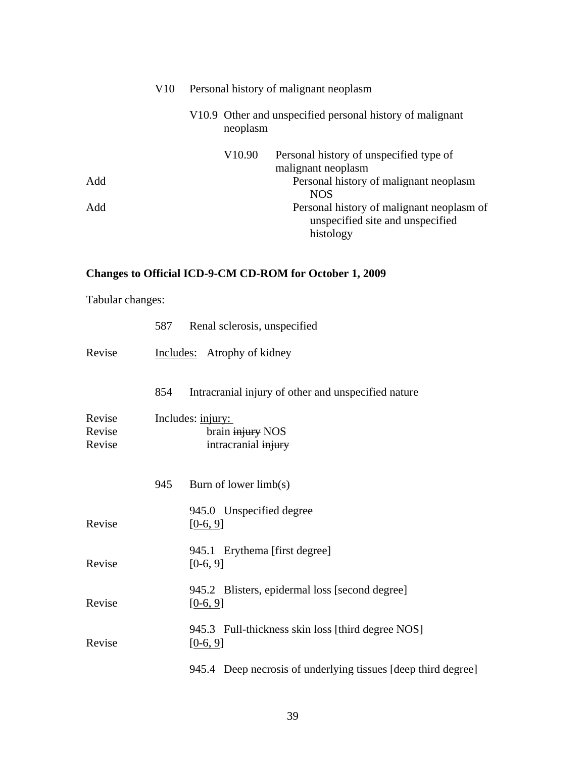|     | V10 | Personal history of malignant neoplasm |                                                                       |  |
|-----|-----|----------------------------------------|-----------------------------------------------------------------------|--|
|     |     |                                        | V10.9 Other and unspecified personal history of malignant<br>neoplasm |  |
|     |     | V <sub>10.90</sub>                     | Personal history of unspecified type of                               |  |
|     |     |                                        | malignant neoplasm                                                    |  |
| Add |     |                                        | Personal history of malignant neoplasm                                |  |
|     |     |                                        | <b>NOS</b>                                                            |  |
| Add |     |                                        | Personal history of malignant neoplasm of                             |  |
|     |     |                                        | unspecified site and unspecified                                      |  |
|     |     |                                        | histology                                                             |  |

# **Changes to Official ICD-9-CM CD-ROM for October 1, 2009**

Tabular changes:

|                            |     | 587 Renal sclerosis, unspecified                                |
|----------------------------|-----|-----------------------------------------------------------------|
| Revise                     |     | Includes: Atrophy of kidney                                     |
|                            | 854 | Intracranial injury of other and unspecified nature             |
| Revise<br>Revise<br>Revise |     | Includes: injury:<br>brain injury NOS<br>intracranial injury    |
|                            | 945 | Burn of lower $limb(s)$                                         |
| Revise                     |     | 945.0 Unspecified degree<br>$[0-6, 9]$                          |
| Revise                     |     | 945.1 Erythema [first degree]<br>$[0-6, 9]$                     |
| Revise                     |     | 945.2 Blisters, epidermal loss [second degree]<br>$[0-6, 9]$    |
| Revise                     |     | 945.3 Full-thickness skin loss [third degree NOS]<br>$[0-6, 9]$ |
|                            |     | 945.4 Deep necrosis of underlying tissues [deep third degree]   |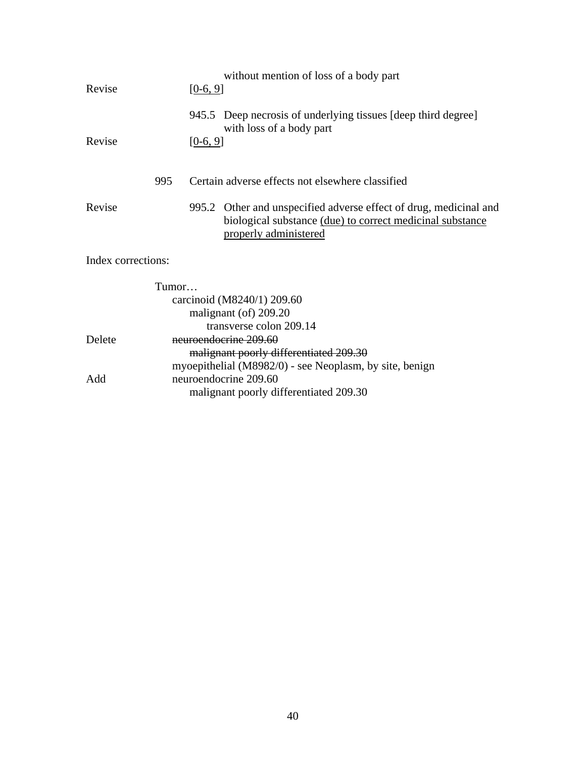| Revise             |       | $[0-6, 9]$ | without mention of loss of a body part                                                                                                                  |
|--------------------|-------|------------|---------------------------------------------------------------------------------------------------------------------------------------------------------|
|                    |       |            | 945.5 Deep necrosis of underlying tissues [deep third degree]<br>with loss of a body part                                                               |
| Revise             |       | $[0-6, 9]$ |                                                                                                                                                         |
|                    | 995   |            | Certain adverse effects not elsewhere classified                                                                                                        |
| Revise             |       |            | 995.2 Other and unspecified adverse effect of drug, medicinal and<br>biological substance (due) to correct medicinal substance<br>properly administered |
| Index corrections: |       |            |                                                                                                                                                         |
|                    | Tumor |            |                                                                                                                                                         |
|                    |       |            | carcinoid (M8240/1) 209.60                                                                                                                              |
|                    |       |            | malignant (of) 209.20                                                                                                                                   |
|                    |       |            | transverse colon 209.14                                                                                                                                 |
| Delete             |       |            | neuroendocrine 209.60                                                                                                                                   |
|                    |       |            | malignant poorly differentiated 209.30                                                                                                                  |
|                    |       |            | myoepithelial (M8982/0) - see Neoplasm, by site, benign                                                                                                 |
| Add                |       |            | neuroendocrine 209.60                                                                                                                                   |
|                    |       |            | malignant poorly differentiated 209.30                                                                                                                  |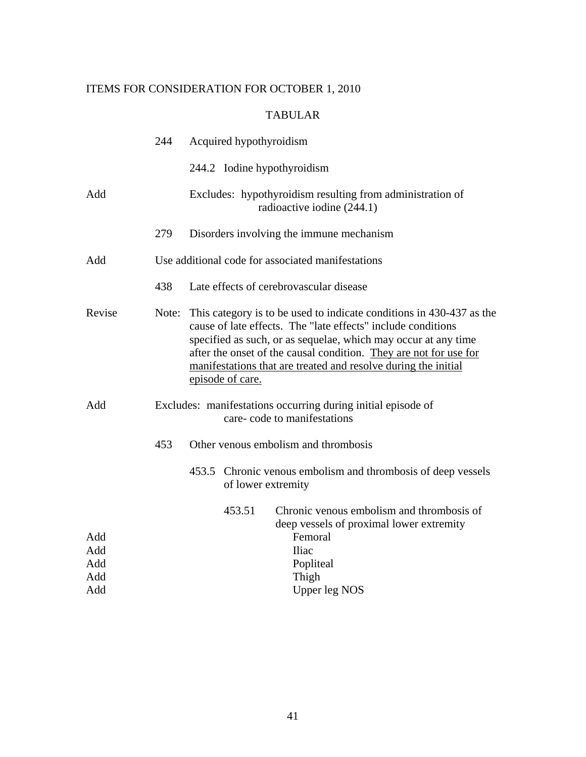## ITEMS FOR CONSIDERATION FOR OCTOBER 1, 2010

## TABULAR

|            | 244   | Acquired hypothyroidism                                                                                                                                                                                                                                                                                                                                           |  |  |
|------------|-------|-------------------------------------------------------------------------------------------------------------------------------------------------------------------------------------------------------------------------------------------------------------------------------------------------------------------------------------------------------------------|--|--|
|            |       | 244.2 Iodine hypothyroidism                                                                                                                                                                                                                                                                                                                                       |  |  |
| Add        |       | Excludes: hypothyroidism resulting from administration of<br>radioactive iodine (244.1)                                                                                                                                                                                                                                                                           |  |  |
|            | 279   | Disorders involving the immune mechanism                                                                                                                                                                                                                                                                                                                          |  |  |
| Add        |       | Use additional code for associated manifestations                                                                                                                                                                                                                                                                                                                 |  |  |
|            | 438   | Late effects of cerebrovascular disease                                                                                                                                                                                                                                                                                                                           |  |  |
| Revise     | Note: | This category is to be used to indicate conditions in 430-437 as the<br>cause of late effects. The "late effects" include conditions<br>specified as such, or as sequelae, which may occur at any time<br>after the onset of the causal condition. They are not for use for<br>manifestations that are treated and resolve during the initial<br>episode of care. |  |  |
| Add        |       | Excludes: manifestations occurring during initial episode of<br>care-code to manifestations                                                                                                                                                                                                                                                                       |  |  |
|            | 453   | Other venous embolism and thrombosis                                                                                                                                                                                                                                                                                                                              |  |  |
|            |       | 453.5 Chronic venous embolism and thrombosis of deep vessels<br>of lower extremity                                                                                                                                                                                                                                                                                |  |  |
|            |       | Chronic venous embolism and thrombosis of<br>453.51<br>deep vessels of proximal lower extremity                                                                                                                                                                                                                                                                   |  |  |
| Add        |       | Femoral                                                                                                                                                                                                                                                                                                                                                           |  |  |
| Add        |       | <b>Iliac</b>                                                                                                                                                                                                                                                                                                                                                      |  |  |
| Add        |       | Popliteal                                                                                                                                                                                                                                                                                                                                                         |  |  |
| Add<br>Add |       | Thigh<br><b>Upper leg NOS</b>                                                                                                                                                                                                                                                                                                                                     |  |  |
|            |       |                                                                                                                                                                                                                                                                                                                                                                   |  |  |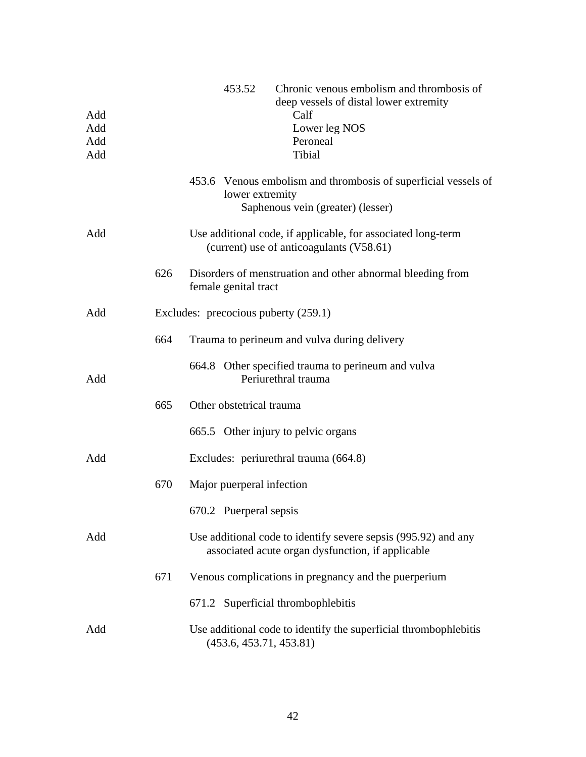| Add<br>Add<br>Add<br>Add |     | Chronic venous embolism and thrombosis of<br>453.52<br>deep vessels of distal lower extremity<br>Calf<br>Lower leg NOS<br>Peroneal<br>Tibial |
|--------------------------|-----|----------------------------------------------------------------------------------------------------------------------------------------------|
|                          |     | 453.6 Venous embolism and thrombosis of superficial vessels of<br>lower extremity<br>Saphenous vein (greater) (lesser)                       |
| Add                      |     | Use additional code, if applicable, for associated long-term<br>(current) use of anticoagulants (V58.61)                                     |
|                          | 626 | Disorders of menstruation and other abnormal bleeding from<br>female genital tract                                                           |
| Add                      |     | Excludes: precocious puberty (259.1)                                                                                                         |
|                          | 664 | Trauma to perineum and vulva during delivery                                                                                                 |
| Add                      |     | 664.8 Other specified trauma to perineum and vulva<br>Periurethral trauma                                                                    |
|                          | 665 | Other obstetrical trauma                                                                                                                     |
|                          |     | 665.5 Other injury to pelvic organs                                                                                                          |
| Add                      |     | Excludes: periurethral trauma (664.8)                                                                                                        |
|                          | 670 | Major puerperal infection                                                                                                                    |
|                          |     | 670.2 Puerperal sepsis                                                                                                                       |
| Add                      |     | Use additional code to identify severe sepsis (995.92) and any<br>associated acute organ dysfunction, if applicable                          |
|                          | 671 | Venous complications in pregnancy and the puerperium                                                                                         |
|                          |     | 671.2 Superficial thrombophlebitis                                                                                                           |
| Add                      |     | Use additional code to identify the superficial thrombophlebitis<br>(453.6, 453.71, 453.81)                                                  |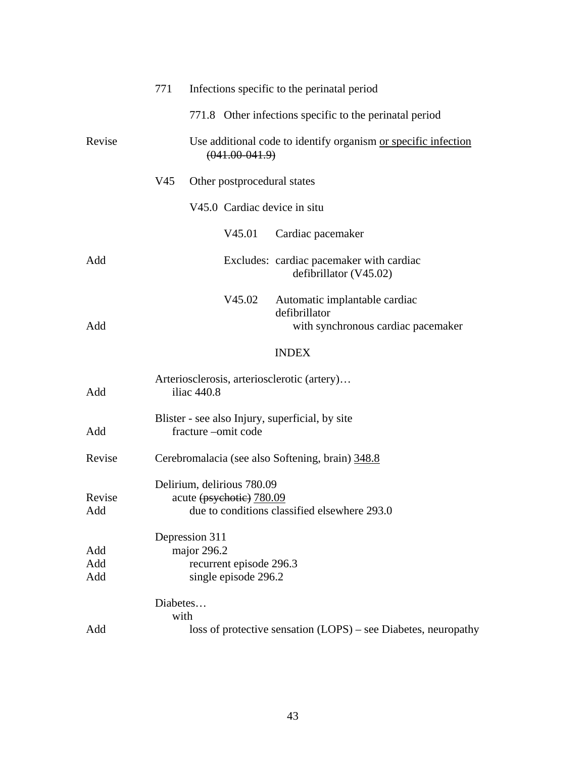|                   | 771              |                               |                                                        | Infections specific to the perinatal period                                          |
|-------------------|------------------|-------------------------------|--------------------------------------------------------|--------------------------------------------------------------------------------------|
|                   |                  |                               |                                                        | 771.8 Other infections specific to the perinatal period                              |
| Revise            |                  |                               | $(041.00 - 041.9)$                                     | Use additional code to identify organism or specific infection                       |
|                   | V45              |                               | Other postprocedural states                            |                                                                                      |
|                   |                  |                               |                                                        | V45.0 Cardiac device in situ                                                         |
|                   |                  |                               | V45.01                                                 | Cardiac pacemaker                                                                    |
| Add               |                  |                               |                                                        | Excludes: cardiac pacemaker with cardiac<br>defibrillator (V45.02)                   |
| Add               |                  |                               | V45.02                                                 | Automatic implantable cardiac<br>defibrillator<br>with synchronous cardiac pacemaker |
|                   |                  |                               |                                                        | <b>INDEX</b>                                                                         |
| Add               |                  | iliac 440.8                   |                                                        | Arteriosclerosis, arteriosclerotic (artery)                                          |
| Add               |                  |                               | fracture -omit code                                    | Blister - see also Injury, superficial, by site                                      |
| Revise            |                  |                               |                                                        | Cerebromalacia (see also Softening, brain) 348.8                                     |
| Revise<br>Add     |                  |                               | Delirium, delirious 780.09<br>acute (psychotic) 780.09 | due to conditions classified elsewhere 293.0                                         |
| Add<br>Add<br>Add |                  | Depression 311<br>major 296.2 | recurrent episode 296.3<br>single episode 296.2        |                                                                                      |
|                   | Diabetes<br>with |                               |                                                        |                                                                                      |
| Add               |                  |                               |                                                        | loss of protective sensation (LOPS) – see Diabetes, neuropathy                       |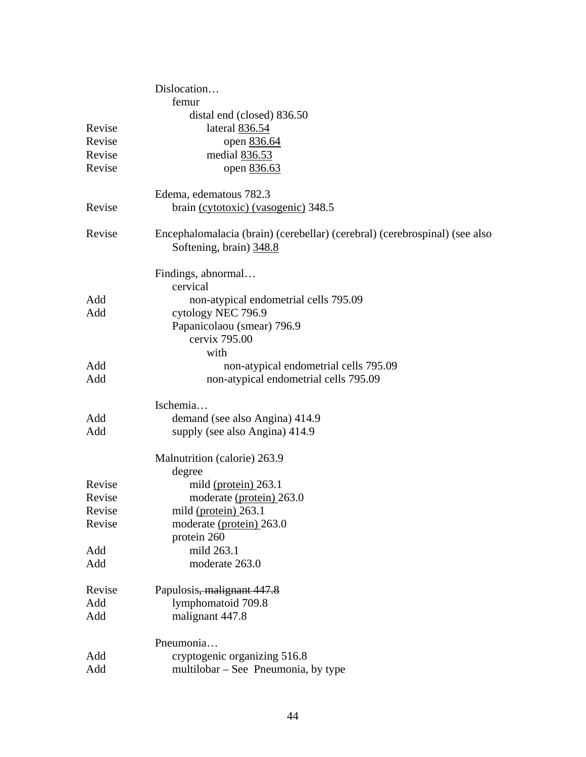|        | Dislocation                                                                |
|--------|----------------------------------------------------------------------------|
|        | femur                                                                      |
|        | distal end (closed) 836.50                                                 |
| Revise | lateral 836.54                                                             |
| Revise | open 836.64                                                                |
| Revise | medial 836.53                                                              |
| Revise | open 836.63                                                                |
|        |                                                                            |
|        | Edema, edematous 782.3                                                     |
| Revise | brain (cytotoxic) (vasogenic) 348.5                                        |
|        |                                                                            |
| Revise | Encephalomalacia (brain) (cerebellar) (cerebral) (cerebrospinal) (see also |
|        | Softening, brain) 348.8                                                    |
|        |                                                                            |
|        | Findings, abnormal                                                         |
|        | cervical                                                                   |
| Add    | non-atypical endometrial cells 795.09                                      |
| Add    | cytology NEC 796.9                                                         |
|        | Papanicolaou (smear) 796.9                                                 |
|        | cervix 795.00                                                              |
|        | with                                                                       |
| Add    | non-atypical endometrial cells 795.09                                      |
| Add    | non-atypical endometrial cells 795.09                                      |
|        |                                                                            |
|        | Ischemia                                                                   |
| Add    | demand (see also Angina) 414.9                                             |
| Add    | supply (see also Angina) 414.9                                             |
|        |                                                                            |
|        | Malnutrition (calorie) 263.9                                               |
|        | degree                                                                     |
| Revise | mild (protein) 263.1                                                       |
| Revise | moderate (protein) 263.0                                                   |
| Revise | mild $(protein) 263.1$                                                     |
| Revise | moderate (protein) 263.0                                                   |
|        | protein 260                                                                |
| Add    | mild 263.1                                                                 |
| Add    | moderate 263.0                                                             |
| Revise | Papulosis, malignant 447.8                                                 |
| Add    | lymphomatoid 709.8                                                         |
|        |                                                                            |
| Add    | malignant 447.8                                                            |
|        | Pneumonia                                                                  |
| Add    | cryptogenic organizing 516.8                                               |
| Add    | multilobar – See Pneumonia, by type                                        |
|        |                                                                            |